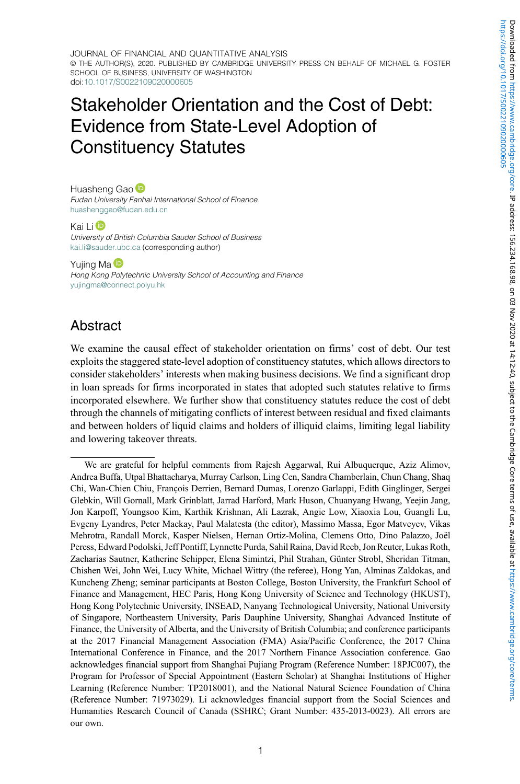JOURNAL OF FINANCIAL AND QUANTITATIVE ANALYSIS © THE AUTHOR(S), 2020. PUBLISHED BY CAMBRIDGE UNIVERSITY PRESS ON BEHALF OF MICHAEL G. FOSTER SCHOOL OF BUSINESS, UNIVERSITY OF WASHINGTON doi[:10.1017/S0022109020000605](https://doi.org/10.1017/S0022109020000605)

# Stakeholder Orientation and the Cost of Debt: Evidence from State-Level Adoption of Constituency Statutes

Huasheng Gao <sup>ID</sup> Fudan University Fanhai International School of Finance [huashenggao@fudan.edu.cn](mailto:huashenggao@fudan.edu.cn)

Kai Li<sup>D</sup> University of British Columbia Sauder School of Business [kai.li@sauder.ubc.ca](mailto:kai.li@sauder.ubc.ca) (corresponding author)

Yujing Ma Hong Kong Polytechnic University School of Accounting and Finance [yujingma@connect.polyu.hk](mailto:yujingma@connect.polyu.hk)

# Abstract

We examine the causal effect of stakeholder orientation on firms' cost of debt. Our test exploits the staggered state-level adoption of constituency statutes, which allows directors to consider stakeholders' interests when making business decisions. We find a significant drop in loan spreads for firms incorporated in states that adopted such statutes relative to firms incorporated elsewhere. We further show that constituency statutes reduce the cost of debt through the channels of mitigating conflicts of interest between residual and fixed claimants and between holders of liquid claims and holders of illiquid claims, limiting legal liability and lowering takeover threats.

We are grateful for helpful comments from Rajesh Aggarwal, Rui Albuquerque, Aziz Alimov, Andrea Buffa, Utpal Bhattacharya, Murray Carlson, Ling Cen, Sandra Chamberlain, Chun Chang, Shaq Chi, Wan-Chien Chiu, François Derrien, Bernard Dumas, Lorenzo Garlappi, Edith Ginglinger, Sergei Glebkin, Will Gornall, Mark Grinblatt, Jarrad Harford, Mark Huson, Chuanyang Hwang, Yeejin Jang, Jon Karpoff, Youngsoo Kim, Karthik Krishnan, Ali Lazrak, Angie Low, Xiaoxia Lou, Guangli Lu, Evgeny Lyandres, Peter Mackay, Paul Malatesta (the editor), Massimo Massa, Egor Matveyev, Vikas Mehrotra, Randall Morck, Kasper Nielsen, Hernan Ortiz-Molina, Clemens Otto, Dino Palazzo, Joël Peress, Edward Podolski, Jeff Pontiff, Lynnette Purda, Sahil Raina, David Reeb, Jon Reuter, Lukas Roth, Zacharias Sautner, Katherine Schipper, Elena Simintzi, Phil Strahan, Günter Strobl, Sheridan Titman, Chishen Wei, John Wei, Lucy White, Michael Wittry (the referee), Hong Yan, Alminas Zaldokas, and Kuncheng Zheng; seminar participants at Boston College, Boston University, the Frankfurt School of Finance and Management, HEC Paris, Hong Kong University of Science and Technology (HKUST), Hong Kong Polytechnic University, INSEAD, Nanyang Technological University, National University of Singapore, Northeastern University, Paris Dauphine University, Shanghai Advanced Institute of Finance, the University of Alberta, and the University of British Columbia; and conference participants at the 2017 Financial Management Association (FMA) Asia/Pacific Conference, the 2017 China International Conference in Finance, and the 2017 Northern Finance Association conference. Gao acknowledges financial support from Shanghai Pujiang Program (Reference Number: 18PJC007), the Program for Professor of Special Appointment (Eastern Scholar) at Shanghai Institutions of Higher Learning (Reference Number: TP2018001), and the National Natural Science Foundation of China (Reference Number: 71973029). Li acknowledges financial support from the Social Sciences and Humanities Research Council of Canada (SSHRC; Grant Number: 435-2013-0023). All errors are our own.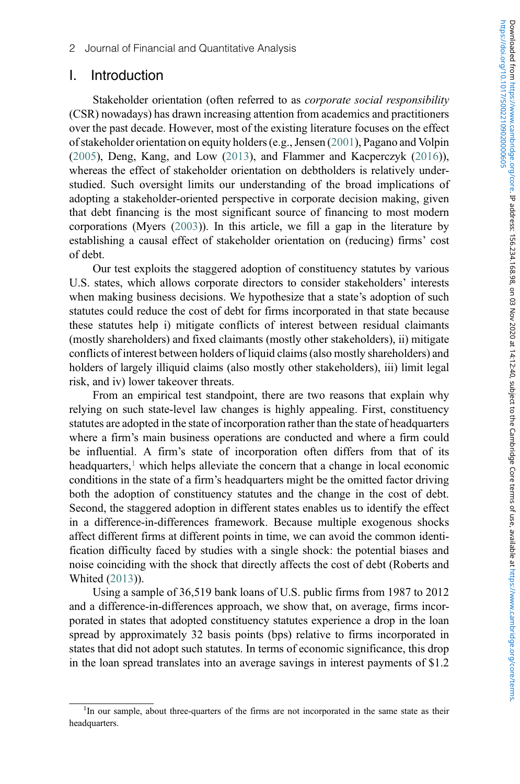### I. Introduction

Stakeholder orientation (often referred to as corporate social responsibility (CSR) nowadays) has drawn increasing attention from academics and practitioners over the past decade. However, most of the existing literature focuses on the effect of stakeholder orientation on equity holders (e.g., Jensen [\(2001](#page-35-0)), Pagano and Volpin ([2005\)](#page-35-1), Deng, Kang, and Low ([2013\)](#page-34-0), and Flammer and Kacperczyk ([2016\)](#page-34-1)), whereas the effect of stakeholder orientation on debtholders is relatively understudied. Such oversight limits our understanding of the broad implications of adopting a stakeholder-oriented perspective in corporate decision making, given that debt financing is the most significant source of financing to most modern corporations (Myers ([2003](#page-35-2))). In this article, we fill a gap in the literature by establishing a causal effect of stakeholder orientation on (reducing) firms' cost of debt.

Our test exploits the staggered adoption of constituency statutes by various U.S. states, which allows corporate directors to consider stakeholders' interests when making business decisions. We hypothesize that a state's adoption of such statutes could reduce the cost of debt for firms incorporated in that state because these statutes help i) mitigate conflicts of interest between residual claimants (mostly shareholders) and fixed claimants (mostly other stakeholders), ii) mitigate conflicts of interest between holders of liquid claims (also mostly shareholders) and holders of largely illiquid claims (also mostly other stakeholders), iii) limit legal risk, and iv) lower takeover threats.

From an empirical test standpoint, there are two reasons that explain why relying on such state-level law changes is highly appealing. First, constituency statutes are adopted in the state of incorporation rather than the state of headquarters where a firm's main business operations are conducted and where a firm could be influential. A firm's state of incorporation often differs from that of its headquarters, $\frac{1}{1}$  $\frac{1}{1}$  $\frac{1}{1}$  which helps alleviate the concern that a change in local economic conditions in the state of a firm's headquarters might be the omitted factor driving both the adoption of constituency statutes and the change in the cost of debt. Second, the staggered adoption in different states enables us to identify the effect in a difference-in-differences framework. Because multiple exogenous shocks affect different firms at different points in time, we can avoid the common identification difficulty faced by studies with a single shock: the potential biases and noise coinciding with the shock that directly affects the cost of debt (Roberts and Whited ([2013\)](#page-36-0)).

Using a sample of 36,519 bank loans of U.S. public firms from 1987 to 2012 and a difference-in-differences approach, we show that, on average, firms incorporated in states that adopted constituency statutes experience a drop in the loan spread by approximately 32 basis points (bps) relative to firms incorporated in states that did not adopt such statutes. In terms of economic significance, this drop in the loan spread translates into an average savings in interest payments of \$1.2

<span id="page-1-0"></span><sup>&</sup>lt;sup>1</sup>In our sample, about three-quarters of the firms are not incorporated in the same state as their headquarters.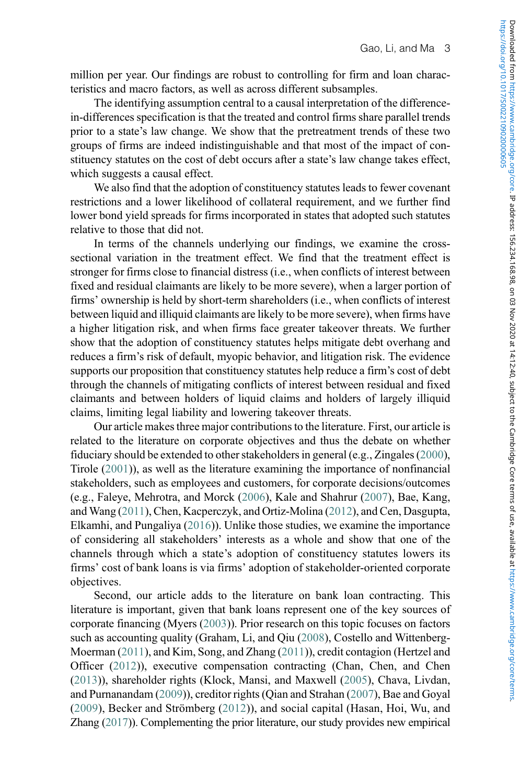million per year. Our findings are robust to controlling for firm and loan characteristics and macro factors, as well as across different subsamples.

The identifying assumption central to a causal interpretation of the differencein-differences specification is that the treated and control firms share parallel trends prior to a state's law change. We show that the pretreatment trends of these two groups of firms are indeed indistinguishable and that most of the impact of constituency statutes on the cost of debt occurs after a state's law change takes effect, which suggests a causal effect.

We also find that the adoption of constituency statutes leads to fewer covenant restrictions and a lower likelihood of collateral requirement, and we further find lower bond yield spreads for firms incorporated in states that adopted such statutes relative to those that did not.

In terms of the channels underlying our findings, we examine the crosssectional variation in the treatment effect. We find that the treatment effect is stronger for firms close to financial distress (i.e., when conflicts of interest between fixed and residual claimants are likely to be more severe), when a larger portion of firms' ownership is held by short-term shareholders (i.e., when conflicts of interest between liquid and illiquid claimants are likely to be more severe), when firms have a higher litigation risk, and when firms face greater takeover threats. We further show that the adoption of constituency statutes helps mitigate debt overhang and reduces a firm's risk of default, myopic behavior, and litigation risk. The evidence supports our proposition that constituency statutes help reduce a firm's cost of debt through the channels of mitigating conflicts of interest between residual and fixed claimants and between holders of liquid claims and holders of largely illiquid claims, limiting legal liability and lowering takeover threats.

Our article makes three major contributions to the literature. First, our article is related to the literature on corporate objectives and thus the debate on whether fiduciary should be extended to other stakeholders in general (e.g., Zingales ([2000\)](#page-36-1), Tirole [\(2001](#page-36-2))), as well as the literature examining the importance of nonfinancial stakeholders, such as employees and customers, for corporate decisions/outcomes (e.g., Faleye, Mehrotra, and Morck [\(2006](#page-34-2)), Kale and Shahrur ([2007](#page-35-3)), Bae, Kang, and Wang ([2011](#page-33-0)), Chen, Kacperczyk, and Ortiz-Molina [\(2012](#page-34-3)), and Cen, Dasgupta, Elkamhi, and Pungaliya [\(2016](#page-33-1))). Unlike those studies, we examine the importance of considering all stakeholders' interests as a whole and show that one of the channels through which a state's adoption of constituency statutes lowers its firms' cost of bank loans is via firms' adoption of stakeholder-oriented corporate objectives.

Second, our article adds to the literature on bank loan contracting. This literature is important, given that bank loans represent one of the key sources of corporate financing (Myers ([2003\)](#page-35-2)). Prior research on this topic focuses on factors such as accounting quality (Graham, Li, and Qiu ([2008\)](#page-34-4), Costello and Wittenberg-Moerman [\(2011\)](#page-34-5), and Kim, Song, and Zhang [\(2011\)](#page-35-4)), credit contagion (Hertzel and Officer [\(2012](#page-35-5))), executive compensation contracting (Chan, Chen, and Chen ([2013\)](#page-33-2)), shareholder rights (Klock, Mansi, and Maxwell [\(2005](#page-35-6)), Chava, Livdan, and Purnanandam [\(2009](#page-34-6))), creditor rights (Qian and Strahan ([2007\)](#page-35-7), Bae and Goyal ([2009](#page-33-3)), Becker and Strömberg ([2012](#page-33-4))), and social capital (Hasan, Hoi, Wu, and Zhang ([2017\)](#page-35-8)). Complementing the prior literature, our study provides new empirical

https://doi.org/10.1017/S0022109020000605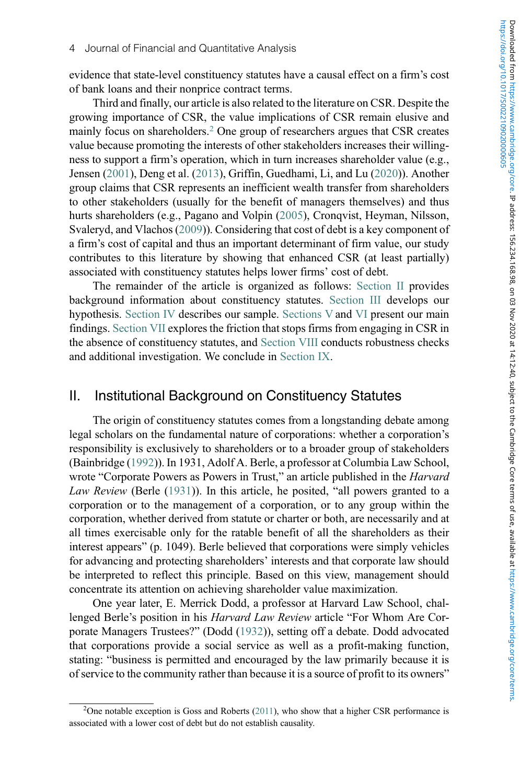evidence that state-level constituency statutes have a causal effect on a firm's cost of bank loans and their nonprice contract terms.

Third and finally, our article is also related to the literature on CSR. Despite the growing importance of CSR, the value implications of CSR remain elusive and mainly focus on shareholders.[2](#page-3-0) One group of researchers argues that CSR creates value because promoting the interests of other stakeholders increases their willingness to support a firm's operation, which in turn increases shareholder value (e.g., Jensen ([2001](#page-35-0)), Deng et al. [\(2013](#page-34-0)), Griffin, Guedhami, Li, and Lu [\(2020](#page-34-7))). Another group claims that CSR represents an inefficient wealth transfer from shareholders to other stakeholders (usually for the benefit of managers themselves) and thus hurts shareholders (e.g., Pagano and Volpin ([2005](#page-35-1)), Cronqvist, Heyman, Nilsson, Svaleryd, and Vlachos [\(2009\)](#page-34-8)). Considering that cost of debt is a key component of a firm's cost of capital and thus an important determinant of firm value, our study contributes to this literature by showing that enhanced CSR (at least partially) associated with constituency statutes helps lower firms' cost of debt.

The remainder of the article is organized as follows: [Section II](#page-3-1) provides background information about constituency statutes. [Section III](#page-5-0) develops our hypothesis. [Section IV](#page-7-0) describes our sample. [Sections V](#page-9-0) and [VI](#page-17-0) present our main findings. [Section VII](#page-26-0) explores the friction that stops firms from engaging in CSR in the absence of constituency statutes, and [Section VIII](#page-27-0) conducts robustness checks and additional investigation. We conclude in [Section IX](#page-29-0).

### <span id="page-3-1"></span>II. Institutional Background on Constituency Statutes

The origin of constituency statutes comes from a longstanding debate among legal scholars on the fundamental nature of corporations: whether a corporation's responsibility is exclusively to shareholders or to a broader group of stakeholders (Bainbridge ([1992\)](#page-33-5)). In 1931, Adolf A. Berle, a professor at Columbia Law School, wrote "Corporate Powers as Powers in Trust," an article published in the *Harvard* Law Review (Berle ([1931\)](#page-33-6)). In this article, he posited, "all powers granted to a corporation or to the management of a corporation, or to any group within the corporation, whether derived from statute or charter or both, are necessarily and at all times exercisable only for the ratable benefit of all the shareholders as their interest appears" (p. 1049). Berle believed that corporations were simply vehicles for advancing and protecting shareholders' interests and that corporate law should be interpreted to reflect this principle. Based on this view, management should concentrate its attention on achieving shareholder value maximization.

One year later, E. Merrick Dodd, a professor at Harvard Law School, challenged Berle's position in his *Harvard Law Review* article "For Whom Are Corporate Managers Trustees?" (Dodd ([1932\)](#page-34-9)), setting off a debate. Dodd advocated that corporations provide a social service as well as a profit-making function, stating: "business is permitted and encouraged by the law primarily because it is of service to the community rather than because it is a source of profit to its owners"

<span id="page-3-0"></span><sup>&</sup>lt;sup>2</sup>One notable exception is Goss and Roberts ([2011](#page-34-10)), who show that a higher CSR performance is associated with a lower cost of debt but do not establish causality.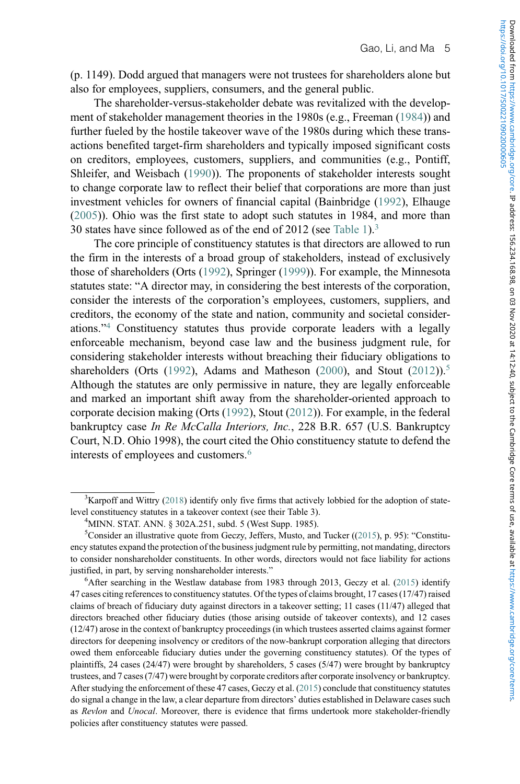(p. 1149). Dodd argued that managers were not trustees for shareholders alone but also for employees, suppliers, consumers, and the general public.

The shareholder-versus-stakeholder debate was revitalized with the development of stakeholder management theories in the 1980s (e.g., Freeman ([1984](#page-34-11))) and further fueled by the hostile takeover wave of the 1980s during which these transactions benefited target-firm shareholders and typically imposed significant costs on creditors, employees, customers, suppliers, and communities (e.g., Pontiff, Shleifer, and Weisbach ([1990\)](#page-35-9)). The proponents of stakeholder interests sought to change corporate law to reflect their belief that corporations are more than just investment vehicles for owners of financial capital (Bainbridge [\(1992](#page-33-5)), Elhauge ([2005\)](#page-34-12)). Ohio was the first state to adopt such statutes in 1984, and more than 30 states have since followed as of the end of 2012 (see [Table 1\)](#page-5-1).[3](#page-4-0)

The core principle of constituency statutes is that directors are allowed to run the firm in the interests of a broad group of stakeholders, instead of exclusively those of shareholders (Orts [\(1992](#page-35-10)), Springer [\(1999](#page-36-3))). For example, the Minnesota statutes state: "A director may, in considering the best interests of the corporation, consider the interests of the corporation's employees, customers, suppliers, and creditors, the economy of the state and nation, community and societal considerations."[4](#page-4-1) Constituency statutes thus provide corporate leaders with a legally enforceable mechanism, beyond case law and the business judgment rule, for considering stakeholder interests without breaching their fiduciary obligations to shareholders (Orts [\(1992](#page-35-10)), Adams and Matheson ([2000\)](#page-33-7), and Stout ([2012\)](#page-36-4)).<sup>[5](#page-4-2)</sup> Although the statutes are only permissive in nature, they are legally enforceable and marked an important shift away from the shareholder-oriented approach to corporate decision making (Orts ([1992\)](#page-35-10), Stout [\(2012\)](#page-36-4)). For example, in the federal bankruptcy case In Re McCalla Interiors, Inc., 228 B.R. 657 (U.S. Bankruptcy Court, N.D. Ohio 1998), the court cited the Ohio constituency statute to defend the interests of employees and customers.<sup>[6](#page-4-3)</sup>

https://doi.org/10.1017/S0022109020000605

<span id="page-4-0"></span><sup>&</sup>lt;sup>3</sup>Karpoff and Wittry [\(2018](#page-35-11)) identify only five firms that actively lobbied for the adoption of statelevel constituency statutes in a takeover context (see their Table 3). <sup>4</sup>

MINN. STAT. ANN. § 302A.251, subd. 5 (West Supp. 1985).

<span id="page-4-2"></span><span id="page-4-1"></span><sup>&</sup>lt;sup>5</sup>Consider an illustrative quote from Geczy, Jeffers, Musto, and Tucker ([\(2015\)](#page-34-13), p. 95): "Constituency statutes expand the protection of the business judgment rule by permitting, not mandating, directors to consider nonshareholder constituents. In other words, directors would not face liability for actions justified, in part, by serving nonshareholder interests."

<span id="page-4-3"></span> ${}^{6}$ After searching in the Westlaw database from 1983 through 2013, Geczy et al. ([2015\)](#page-34-13) identify 47 cases citing references to constituency statutes. Of the types of claims brought, 17 cases (17/47) raised claims of breach of fiduciary duty against directors in a takeover setting; 11 cases (11/47) alleged that directors breached other fiduciary duties (those arising outside of takeover contexts), and 12 cases (12/47) arose in the context of bankruptcy proceedings (in which trustees asserted claims against former directors for deepening insolvency or creditors of the now-bankrupt corporation alleging that directors owed them enforceable fiduciary duties under the governing constituency statutes). Of the types of plaintiffs, 24 cases (24/47) were brought by shareholders, 5 cases (5/47) were brought by bankruptcy trustees, and 7 cases (7/47) were brought by corporate creditors after corporate insolvency or bankruptcy. After studying the enforcement of these 47 cases, Geczy et al. [\(2015](#page-34-13)) conclude that constituency statutes do signal a change in the law, a clear departure from directors' duties established in Delaware cases such as Revlon and Unocal. Moreover, there is evidence that firms undertook more stakeholder-friendly policies after constituency statutes were passed.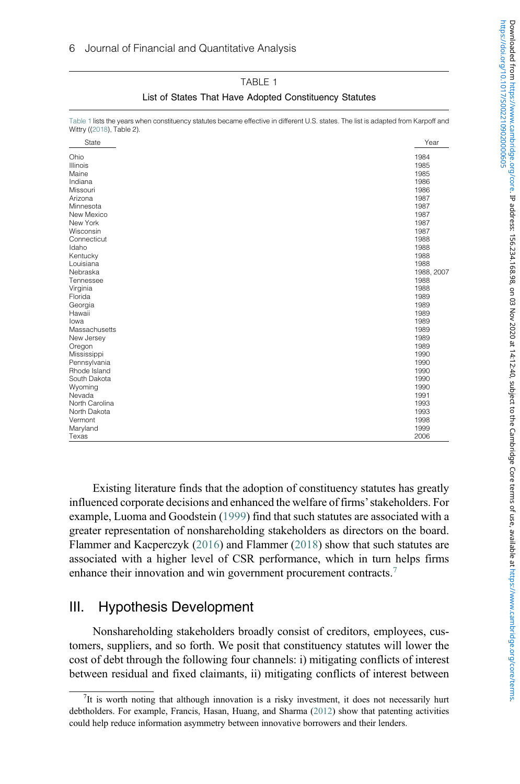#### TABLE 1 List of States That Have Adopted Constituency Statutes

<span id="page-5-1"></span>

| Table 1 lists the years when constituency statutes became effective in different U.S. states. The list is adapted from Karpoff and<br>Wittry ((2018), Table 2). |              |
|-----------------------------------------------------------------------------------------------------------------------------------------------------------------|--------------|
| State                                                                                                                                                           | Year         |
| Ohio                                                                                                                                                            | 1984         |
| Illinois                                                                                                                                                        | 1985         |
| Maine                                                                                                                                                           | 1985         |
| Indiana                                                                                                                                                         | 1986         |
| Missouri                                                                                                                                                        | 1986         |
| Arizona                                                                                                                                                         | 1987         |
| Minnesota                                                                                                                                                       | 1987         |
| New Mexico                                                                                                                                                      | 1987         |
| New York                                                                                                                                                        | 1987         |
| Wisconsin                                                                                                                                                       | 1987         |
| Connecticut                                                                                                                                                     | 1988         |
| Idaho                                                                                                                                                           | 1988         |
| Kentucky                                                                                                                                                        | 1988         |
| Louisiana                                                                                                                                                       | 1988         |
| Nebraska                                                                                                                                                        | 1988, 2007   |
| Tennessee                                                                                                                                                       | 1988         |
| Virginia<br>Florida                                                                                                                                             | 1988<br>1989 |
|                                                                                                                                                                 | 1989         |
| Georgia<br>Hawaii                                                                                                                                               | 1989         |
| lowa                                                                                                                                                            | 1989         |
| Massachusetts                                                                                                                                                   | 1989         |
| New Jersey                                                                                                                                                      | 1989         |
| Oregon                                                                                                                                                          | 1989         |
| Mississippi                                                                                                                                                     | 1990         |
| Pennsylvania                                                                                                                                                    | 1990         |
| Rhode Island                                                                                                                                                    | 1990         |
| South Dakota                                                                                                                                                    | 1990         |
| Wyoming                                                                                                                                                         | 1990         |
| Nevada                                                                                                                                                          | 1991         |
| North Carolina                                                                                                                                                  | 1993         |
| North Dakota                                                                                                                                                    | 1993         |
| Vermont                                                                                                                                                         | 1998         |
| Maryland                                                                                                                                                        | 1999         |
| Texas                                                                                                                                                           | 2006         |

Existing literature finds that the adoption of constituency statutes has greatly influenced corporate decisions and enhanced the welfare of firms'stakeholders. For example, Luoma and Goodstein [\(1999](#page-35-12)) find that such statutes are associated with a greater representation of nonshareholding stakeholders as directors on the board. Flammer and Kacperczyk ([2016\)](#page-34-1) and Flammer [\(2018](#page-34-14)) show that such statutes are associated with a higher level of CSR performance, which in turn helps firms enhance their innovation and win government procurement contracts.<sup>[7](#page-5-2)</sup>

### <span id="page-5-0"></span>III. Hypothesis Development

Nonshareholding stakeholders broadly consist of creditors, employees, customers, suppliers, and so forth. We posit that constituency statutes will lower the cost of debt through the following four channels: i) mitigating conflicts of interest between residual and fixed claimants, ii) mitigating conflicts of interest between

<span id="page-5-2"></span> $7$ It is worth noting that although innovation is a risky investment, it does not necessarily hurt debtholders. For example, Francis, Hasan, Huang, and Sharma [\(2012](#page-34-15)) show that patenting activities could help reduce information asymmetry between innovative borrowers and their lenders.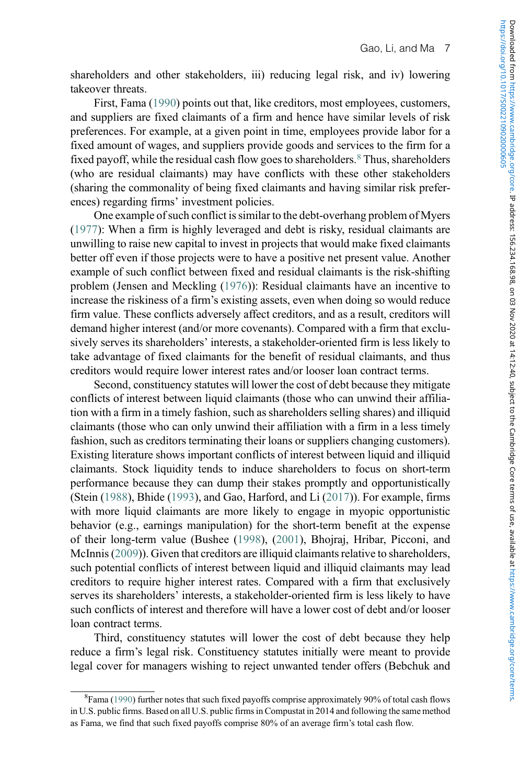shareholders and other stakeholders, iii) reducing legal risk, and iv) lowering takeover threats.

First, Fama ([1990\)](#page-34-16) points out that, like creditors, most employees, customers, and suppliers are fixed claimants of a firm and hence have similar levels of risk preferences. For example, at a given point in time, employees provide labor for a fixed amount of wages, and suppliers provide goods and services to the firm for a fixed payoff, while the residual cash flow goes to shareholders. $8$  Thus, shareholders (who are residual claimants) may have conflicts with these other stakeholders (sharing the commonality of being fixed claimants and having similar risk preferences) regarding firms' investment policies.

One example of such conflict is similar to the debt-overhang problem of Myers ([1977\)](#page-35-13): When a firm is highly leveraged and debt is risky, residual claimants are unwilling to raise new capital to invest in projects that would make fixed claimants better off even if those projects were to have a positive net present value. Another example of such conflict between fixed and residual claimants is the risk-shifting problem (Jensen and Meckling [\(1976](#page-35-14))): Residual claimants have an incentive to increase the riskiness of a firm's existing assets, even when doing so would reduce firm value. These conflicts adversely affect creditors, and as a result, creditors will demand higher interest (and/or more covenants). Compared with a firm that exclusively serves its shareholders' interests, a stakeholder-oriented firm is less likely to take advantage of fixed claimants for the benefit of residual claimants, and thus creditors would require lower interest rates and/or looser loan contract terms.

Second, constituency statutes will lower the cost of debt because they mitigate conflicts of interest between liquid claimants (those who can unwind their affiliation with a firm in a timely fashion, such as shareholders selling shares) and illiquid claimants (those who can only unwind their affiliation with a firm in a less timely fashion, such as creditors terminating their loans or suppliers changing customers). Existing literature shows important conflicts of interest between liquid and illiquid claimants. Stock liquidity tends to induce shareholders to focus on short-term performance because they can dump their stakes promptly and opportunistically (Stein ([1988\)](#page-36-5), Bhide [\(1993](#page-33-8)), and Gao, Harford, and Li [\(2017\)](#page-34-17)). For example, firms with more liquid claimants are more likely to engage in myopic opportunistic behavior (e.g., earnings manipulation) for the short-term benefit at the expense of their long-term value (Bushee ([1998\)](#page-33-9), ([2001\)](#page-33-10), Bhojraj, Hribar, Picconi, and McInnis ([2009\)](#page-33-11)). Given that creditors are illiquid claimants relative to shareholders, such potential conflicts of interest between liquid and illiquid claimants may lead creditors to require higher interest rates. Compared with a firm that exclusively serves its shareholders' interests, a stakeholder-oriented firm is less likely to have such conflicts of interest and therefore will have a lower cost of debt and/or looser loan contract terms.

Third, constituency statutes will lower the cost of debt because they help reduce a firm's legal risk. Constituency statutes initially were meant to provide legal cover for managers wishing to reject unwanted tender offers (Bebchuk and

<span id="page-6-0"></span><sup>&</sup>lt;sup>8</sup>Fama ([1990](#page-34-16)) further notes that such fixed payoffs comprise approximately 90% of total cash flows in U.S. public firms. Based on all U.S. public firms in Compustat in 2014 and following the same method as Fama, we find that such fixed payoffs comprise 80% of an average firm's total cash flow.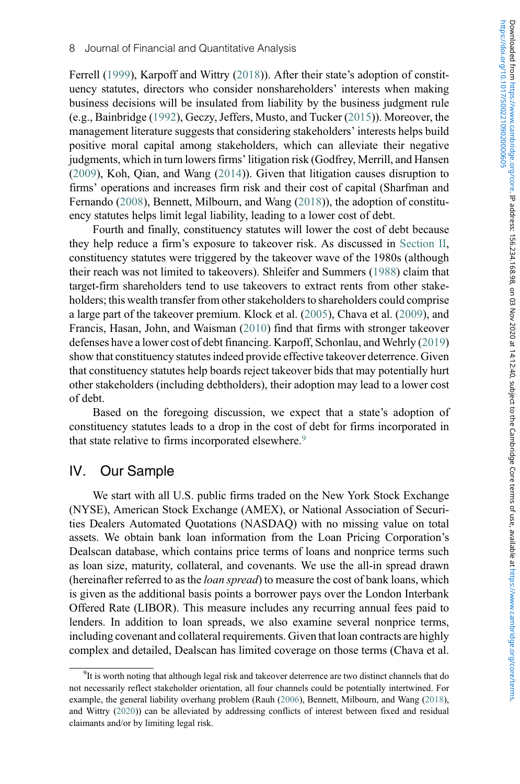Ferrell ([1999\)](#page-33-12), Karpoff and Wittry [\(2018](#page-35-11))). After their state's adoption of constituency statutes, directors who consider nonshareholders' interests when making business decisions will be insulated from liability by the business judgment rule (e.g., Bainbridge ([1992\)](#page-33-5), Geczy, Jeffers, Musto, and Tucker ([2015\)](#page-34-13)). Moreover, the management literature suggests that considering stakeholders' interests helps build positive moral capital among stakeholders, which can alleviate their negative judgments, which in turn lowers firms' litigation risk (Godfrey, Merrill, and Hansen [\(2009\)](#page-34-18), Koh, Qian, and Wang [\(2014](#page-35-15))). Given that litigation causes disruption to firms' operations and increases firm risk and their cost of capital (Sharfman and Fernando ([2008\)](#page-36-6), Bennett, Milbourn, and Wang [\(2018](#page-33-13))), the adoption of constituency statutes helps limit legal liability, leading to a lower cost of debt.

Fourth and finally, constituency statutes will lower the cost of debt because they help reduce a firm's exposure to takeover risk. As discussed in [Section II](#page-3-1), constituency statutes were triggered by the takeover wave of the 1980s (although their reach was not limited to takeovers). Shleifer and Summers ([1988\)](#page-36-7) claim that target-firm shareholders tend to use takeovers to extract rents from other stakeholders; this wealth transfer from other stakeholders to shareholders could comprise a large part of the takeover premium. Klock et al. ([2005\)](#page-35-6), Chava et al. [\(2009](#page-34-6)), and Francis, Hasan, John, and Waisman ([2010\)](#page-34-19) find that firms with stronger takeover defenses have a lower cost of debt financing. Karpoff, Schonlau, and Wehrly [\(2019](#page-35-16)) show that constituency statutes indeed provide effective takeover deterrence. Given that constituency statutes help boards reject takeover bids that may potentially hurt other stakeholders (including debtholders), their adoption may lead to a lower cost of debt.

Based on the foregoing discussion, we expect that a state's adoption of constituency statutes leads to a drop in the cost of debt for firms incorporated in that state relative to firms incorporated elsewhere.<sup>[9](#page-7-1)</sup>

### <span id="page-7-0"></span>IV. Our Sample

We start with all U.S. public firms traded on the New York Stock Exchange (NYSE), American Stock Exchange (AMEX), or National Association of Securities Dealers Automated Quotations (NASDAQ) with no missing value on total assets. We obtain bank loan information from the Loan Pricing Corporation's Dealscan database, which contains price terms of loans and nonprice terms such as loan size, maturity, collateral, and covenants. We use the all-in spread drawn (hereinafter referred to as the *loan spread*) to measure the cost of bank loans, which is given as the additional basis points a borrower pays over the London Interbank Offered Rate (LIBOR). This measure includes any recurring annual fees paid to lenders. In addition to loan spreads, we also examine several nonprice terms, including covenant and collateral requirements. Given that loan contracts are highly complex and detailed, Dealscan has limited coverage on those terms (Chava et al.

<span id="page-7-1"></span><sup>&</sup>lt;sup>9</sup>It is worth noting that although legal risk and takeover deterrence are two distinct channels that do not necessarily reflect stakeholder orientation, all four channels could be potentially intertwined. For example, the general liability overhang problem (Rauh [\(2006](#page-36-8)), Bennett, Milbourn, and Wang [\(2018](#page-33-13)), and Wittry ([2020\)](#page-36-9)) can be alleviated by addressing conflicts of interest between fixed and residual claimants and/or by limiting legal risk.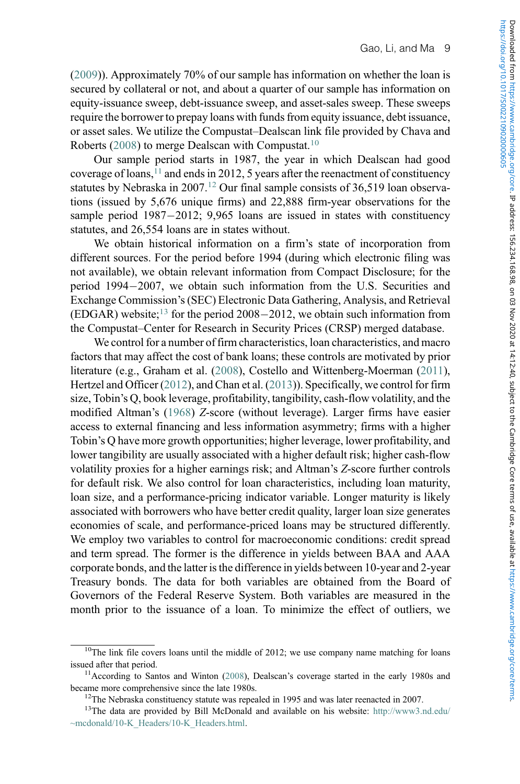([2009\)](#page-34-6)). Approximately 70% of our sample has information on whether the loan is secured by collateral or not, and about a quarter of our sample has information on equity-issuance sweep, debt-issuance sweep, and asset-sales sweep. These sweeps require the borrower to prepay loans with funds from equity issuance, debt issuance, or asset sales. We utilize the Compustat–Dealscan link file provided by Chava and Roberts [\(2008](#page-34-20)) to merge Dealscan with Compustat.<sup>[10](#page-8-0)</sup>

Our sample period starts in 1987, the year in which Dealscan had good coverage of loans,  $11$  and ends in 2012, 5 years after the reenactment of constituency statutes by Nebraska in 2007.[12](#page-8-2) Our final sample consists of 36,519 loan observations (issued by 5,676 unique firms) and 22,888 firm-year observations for the sample period  $1987-2012$ ; 9,965 loans are issued in states with constituency statutes, and 26,554 loans are in states without.

We obtain historical information on a firm's state of incorporation from different sources. For the period before 1994 (during which electronic filing was not available), we obtain relevant information from Compact Disclosure; for the period 1994-2007, we obtain such information from the U.S. Securities and Exchange Commission's (SEC) Electronic Data Gathering, Analysis, and Retrieval (EDGAR) website;<sup>[13](#page-8-3)</sup> for the period 2008–2012, we obtain such information from the Compustat–Center for Research in Security Prices (CRSP) merged database.

We control for a number of firm characteristics, loan characteristics, and macro factors that may affect the cost of bank loans; these controls are motivated by prior literature (e.g., Graham et al. ([2008\)](#page-34-4), Costello and Wittenberg-Moerman [\(2011\)](#page-34-5), Hertzel and Officer [\(2012](#page-35-5)), and Chan et al. ([2013\)](#page-33-2)). Specifically, we control for firm size, Tobin's Q, book leverage, profitability, tangibility, cash-flow volatility, and the modified Altman's [\(1968](#page-33-14)) Z-score (without leverage). Larger firms have easier access to external financing and less information asymmetry; firms with a higher Tobin's Q have more growth opportunities; higher leverage, lower profitability, and lower tangibility are usually associated with a higher default risk; higher cash-flow volatility proxies for a higher earnings risk; and Altman's Z-score further controls for default risk. We also control for loan characteristics, including loan maturity, loan size, and a performance-pricing indicator variable. Longer maturity is likely associated with borrowers who have better credit quality, larger loan size generates economies of scale, and performance-priced loans may be structured differently. We employ two variables to control for macroeconomic conditions: credit spread and term spread. The former is the difference in yields between BAA and AAA corporate bonds, and the latter is the difference in yields between 10-year and 2-year Treasury bonds. The data for both variables are obtained from the Board of Governors of the Federal Reserve System. Both variables are measured in the month prior to the issuance of a loan. To minimize the effect of outliers, we

<span id="page-8-0"></span> $10$ <sup>10</sup>The link file covers loans until the middle of 2012; we use company name matching for loans issued after that period.<br><sup>11</sup>According to Santos and Winton [\(2008](#page-36-10)), Dealscan's coverage started in the early 1980s and

<span id="page-8-1"></span>became more comprehensive since the late 1980s.<br><sup>12</sup>The Nebraska constituency statute was repealed in 1995 and was later reenacted in 2007.

<span id="page-8-3"></span><span id="page-8-2"></span><sup>&</sup>lt;sup>13</sup>The data are provided by Bill McDonald and available on his website: [http://www3.nd.edu/](http://www3.nd.edu/~mcdonald/10-K_Headers/10-K_Headers.html) [~mcdonald/10-K\\_Headers/10-K\\_Headers.html](http://www3.nd.edu/~mcdonald/10-K_Headers/10-K_Headers.html).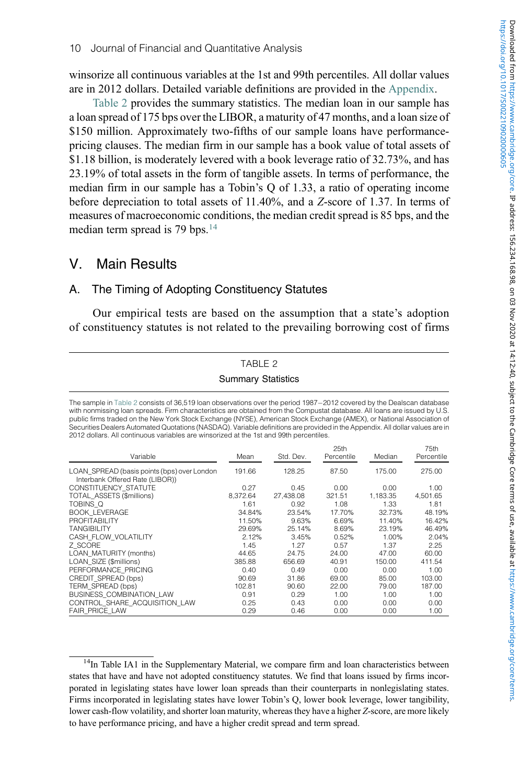winsorize all continuous variables at the 1st and 99th percentiles. All dollar values are in 2012 dollars. Detailed variable definitions are provided in the [Appendix](#page-30-0).

[Table 2](#page-9-1) provides the summary statistics. The median loan in our sample has a loan spread of 175 bps over the LIBOR, a maturity of 47 months, and a loan size of \$150 million. Approximately two-fifths of our sample loans have performancepricing clauses. The median firm in our sample has a book value of total assets of \$1.18 billion, is moderately levered with a book leverage ratio of 32.73%, and has 23.19% of total assets in the form of tangible assets. In terms of performance, the median firm in our sample has a Tobin's Q of 1.33, a ratio of operating income before depreciation to total assets of 11.40%, and a Z-score of 1.37. In terms of measures of macroeconomic conditions, the median credit spread is 85 bps, and the median term spread is 79 bps.<sup>14</sup>

### <span id="page-9-0"></span>V. Main Results

### A. The Timing of Adopting Constituency Statutes

<span id="page-9-1"></span>Our empirical tests are based on the assumption that a state's adoption of constituency statutes is not related to the prevailing borrowing cost of firms

### TABLE 2 Summary Statistics

The sample in [Table 2](#page-9-1) consists of 36,519 loan observations over the period 1987-2012 covered by the Dealscan database with nonmissing loan spreads. Firm characteristics are obtained from the Compustat database. All loans are issued by U.S. public firms traded on the New York Stock Exchange (NYSE), American Stock Exchange (AMEX), or National Association of Securities Dealers Automated Quotations (NASDAQ). Variable definitions are provided in the Appendix. All dollar values are in 2012 dollars. All continuous variables are winsorized at the 1st and 99th percentiles.

|                                                                                |          |           | 25th       |          | 75th       |
|--------------------------------------------------------------------------------|----------|-----------|------------|----------|------------|
| Variable                                                                       | Mean     | Std. Dev. | Percentile | Median   | Percentile |
| LOAN SPREAD (basis points (bps) over London<br>Interbank Offered Rate (LIBOR)) | 191.66   | 128.25    | 87.50      | 175.00   | 275.00     |
| CONSTITUENCY STATUTE                                                           | 0.27     | 0.45      | 0.00       | 0.00     | 1.00       |
| TOTAL ASSETS (\$millions)                                                      | 8.372.64 | 27.438.08 | 321.51     | 1.183.35 | 4.501.65   |
| TOBINS Q                                                                       | 1.61     | 0.92      | 1.08       | 1.33     | 1.81       |
| <b>BOOK LEVERAGE</b>                                                           | 34.84%   | 23.54%    | 17.70%     | 32.73%   | 48.19%     |
| <b>PROFITABILITY</b>                                                           | 11.50%   | 9.63%     | 6.69%      | 11.40%   | 16.42%     |
| <b>TANGIBILITY</b>                                                             | 29.69%   | 25.14%    | 8.69%      | 23.19%   | 46.49%     |
| CASH FLOW VOLATILITY                                                           | 2.12%    | 3.45%     | 0.52%      | 1.00%    | 2.04%      |
| Z SCORE                                                                        | 1.45     | 1.27      | 0.57       | 1.37     | 2.25       |
| LOAN MATURITY (months)                                                         | 44.65    | 24.75     | 24.00      | 47.00    | 60.00      |
| LOAN SIZE (\$millions)                                                         | 385.88   | 656.69    | 40.91      | 150.00   | 411.54     |
| PERFORMANCE PRICING                                                            | 0.40     | 0.49      | 0.00       | 0.00     | 1.00       |
| CREDIT SPREAD (bps)                                                            | 90.69    | 31.86     | 69.00      | 85.00    | 103.00     |
| TERM SPREAD (bps)                                                              | 102.81   | 90.60     | 22.00      | 79.00    | 187.00     |
| <b>BUSINESS COMBINATION LAW</b>                                                | 0.91     | 0.29      | 1.00       | 1.00     | 1.00       |
| CONTROL SHARE ACQUISITION LAW                                                  | 0.25     | 0.43      | 0.00       | 0.00     | 0.00       |
| FAIR PRICE LAW                                                                 | 0.29     | 0.46      | 0.00       | 0.00     | 1.00       |

<span id="page-9-2"></span><sup>&</sup>lt;sup>14</sup>In Table IA1 in the Supplementary Material, we compare firm and loan characteristics between states that have and have not adopted constituency statutes. We find that loans issued by firms incorporated in legislating states have lower loan spreads than their counterparts in nonlegislating states. Firms incorporated in legislating states have lower Tobin's Q, lower book leverage, lower tangibility, lower cash-flow volatility, and shorter loan maturity, whereas they have a higher Z-score, are more likely to have performance pricing, and have a higher credit spread and term spread.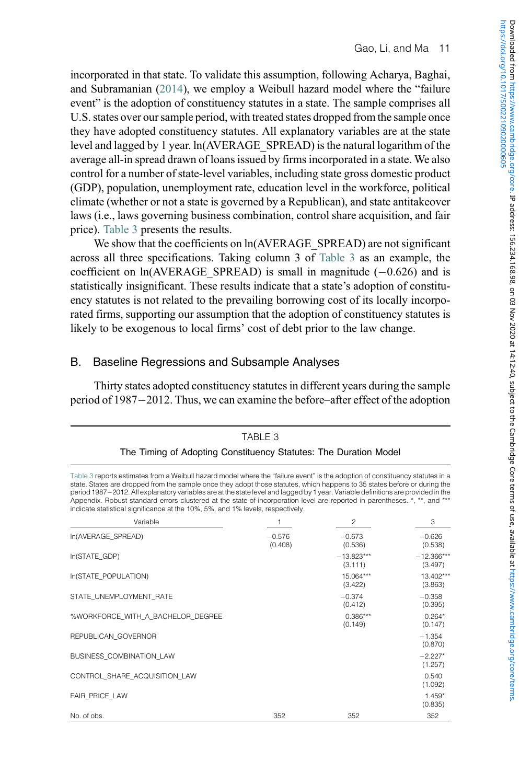incorporated in that state. To validate this assumption, following Acharya, Baghai, and Subramanian ([2014\)](#page-33-15), we employ a Weibull hazard model where the "failure event" is the adoption of constituency statutes in a state. The sample comprises all U.S. states over our sample period, with treated states dropped from the sample once they have adopted constituency statutes. All explanatory variables are at the state level and lagged by 1 year. ln(AVERAGE\_SPREAD) is the natural logarithm of the average all-in spread drawn of loans issued by firms incorporated in a state. We also control for a number of state-level variables, including state gross domestic product (GDP), population, unemployment rate, education level in the workforce, political climate (whether or not a state is governed by a Republican), and state antitakeover laws (i.e., laws governing business combination, control share acquisition, and fair price). [Table 3](#page-10-0) presents the results.

We show that the coefficients on  $ln(AVERAGE$  SPREAD) are not significant across all three specifications. Taking column 3 of [Table 3](#page-10-0) as an example, the coefficient on  $ln(AVERAGE$  SPREAD) is small in magnitude ( $-0.626$ ) and is statistically insignificant. These results indicate that a state's adoption of constituency statutes is not related to the prevailing borrowing cost of its locally incorporated firms, supporting our assumption that the adoption of constituency statutes is likely to be exogenous to local firms' cost of debt prior to the law change.

### B. Baseline Regressions and Subsample Analyses

Thirty states adopted constituency statutes in different years during the sample period of  $1987-2012$ . Thus, we can examine the before–after effect of the adoption

<span id="page-10-0"></span>

| TABLE 3<br>The Timing of Adopting Constituency Statutes: The Duration Model                                                                                                                                                                                                                                                                                                                                                                                                                                                                                                                                     |                     |                         |                         |  |  |
|-----------------------------------------------------------------------------------------------------------------------------------------------------------------------------------------------------------------------------------------------------------------------------------------------------------------------------------------------------------------------------------------------------------------------------------------------------------------------------------------------------------------------------------------------------------------------------------------------------------------|---------------------|-------------------------|-------------------------|--|--|
| Table 3 reports estimates from a Weibull hazard model where the "failure event" is the adoption of constituency statutes in a<br>state. States are dropped from the sample once they adopt those statutes, which happens to 35 states before or during the<br>period 1987-2012. All explanatory variables are at the state level and lagged by 1 year. Variable definitions are provided in the<br>Appendix. Robust standard errors clustered at the state-of-incorporation level are reported in parentheses. *, **, and ***<br>indicate statistical significance at the 10%, 5%, and 1% levels, respectively. |                     |                         |                         |  |  |
| Variable                                                                                                                                                                                                                                                                                                                                                                                                                                                                                                                                                                                                        |                     | 2                       | 3                       |  |  |
| In(AVERAGE SPREAD)                                                                                                                                                                                                                                                                                                                                                                                                                                                                                                                                                                                              | $-0.576$<br>(0.408) | $-0.673$<br>(0.536)     | $-0.626$<br>(0.538)     |  |  |
| In(STATE GDP)                                                                                                                                                                                                                                                                                                                                                                                                                                                                                                                                                                                                   |                     | $-13.823***$<br>(3.111) | $-12.366***$<br>(3.497) |  |  |
| In(STATE POPULATION)                                                                                                                                                                                                                                                                                                                                                                                                                                                                                                                                                                                            |                     | 15.064***<br>(3.422)    | 13.402***<br>(3.863)    |  |  |
| STATE UNEMPLOYMENT RATE                                                                                                                                                                                                                                                                                                                                                                                                                                                                                                                                                                                         |                     | $-0.374$<br>(0.412)     | $-0.358$<br>(0.395)     |  |  |
| %WORKFORCE WITH A BACHELOR DEGREE                                                                                                                                                                                                                                                                                                                                                                                                                                                                                                                                                                               |                     | $0.386***$<br>(0.149)   | $0.264*$<br>(0.147)     |  |  |
| REPUBLICAN GOVERNOR                                                                                                                                                                                                                                                                                                                                                                                                                                                                                                                                                                                             |                     |                         | $-1.354$<br>(0.870)     |  |  |
| <b>BUSINESS COMBINATION LAW</b>                                                                                                                                                                                                                                                                                                                                                                                                                                                                                                                                                                                 |                     |                         | $-2.227*$<br>(1.257)    |  |  |
| CONTROL_SHARE_ACQUISITION LAW                                                                                                                                                                                                                                                                                                                                                                                                                                                                                                                                                                                   |                     |                         | 0.540<br>(1.092)        |  |  |
| <b>FAIR PRICE LAW</b>                                                                                                                                                                                                                                                                                                                                                                                                                                                                                                                                                                                           |                     |                         | $1.459*$<br>(0.835)     |  |  |
| No. of obs.                                                                                                                                                                                                                                                                                                                                                                                                                                                                                                                                                                                                     | 352                 | 352                     | 352                     |  |  |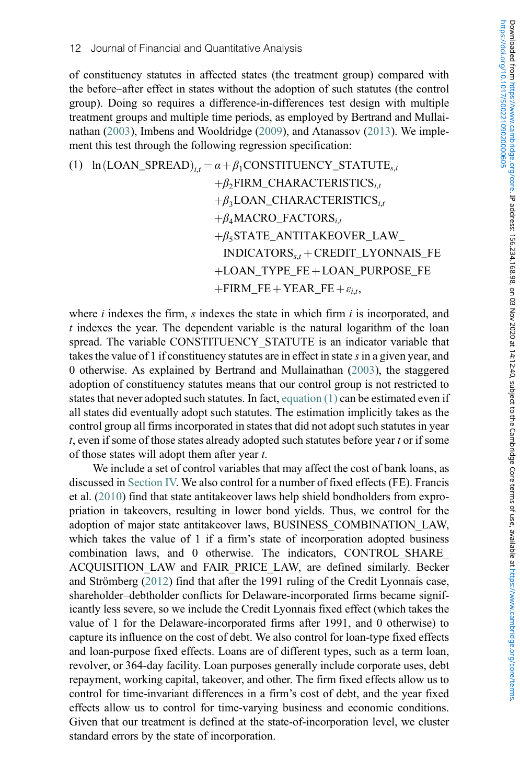of constituency statutes in affected states (the treatment group) compared with the before–after effect in states without the adoption of such statutes (the control group). Doing so requires a difference-in-differences test design with multiple treatment groups and multiple time periods, as employed by Bertrand and Mullainathan ([2003\)](#page-33-16), Imbens and Wooldridge [\(2009\)](#page-35-17), and Atanassov [\(2013](#page-33-17)). We implement this test through the following regression specification:

<span id="page-11-0"></span>(1) In (LOAN\_SPREAD)<sub>i,t</sub> = 
$$
\alpha + \beta_1
$$
CONSTITUENCY\_STATURES<sub>i,t</sub>  
+ $\beta_2$ FIRM\_CHARACTERISTICS<sub>i,t</sub>  
+ $\beta_3$ LOAN\_CHARACTERISTICS<sub>i,t</sub>  
+ $\beta_4$ MACRO\_FACTORS<sub>i,t</sub>  
+ $\beta_5$ STATE\_ANTITAKEover\_LAW  
INDICATORS<sub>s,t</sub> + CREDIT\_LYONNAIS\_FE  
+LOAN\_TYPE\_FE + LOAN\_PURPOSE\_FE  
+FIRM\_FE + YEAR\_FE +  $\varepsilon_{i,t}$ ,

where  $i$  indexes the firm,  $s$  indexes the state in which firm  $i$  is incorporated, and t indexes the year. The dependent variable is the natural logarithm of the loan spread. The variable CONSTITUENCY\_STATUTE is an indicator variable that takes the value of 1 if constituency statutes are in effect in state s in a given year, and 0 otherwise. As explained by Bertrand and Mullainathan ([2003\)](#page-33-16), the staggered adoption of constituency statutes means that our control group is not restricted to states that never adopted such statutes. In fact, [equation \(1\)](#page-11-0) can be estimated even if all states did eventually adopt such statutes. The estimation implicitly takes as the control group all firms incorporated in states that did not adopt such statutes in year t, even if some of those states already adopted such statutes before year t or if some of those states will adopt them after year t.

We include a set of control variables that may affect the cost of bank loans, as discussed in [Section IV.](#page-7-0) We also control for a number of fixed effects (FE). Francis et al. ([2010\)](#page-34-19) find that state antitakeover laws help shield bondholders from expropriation in takeovers, resulting in lower bond yields. Thus, we control for the adoption of major state antitakeover laws, BUSINESS\_COMBINATION\_LAW, which takes the value of 1 if a firm's state of incorporation adopted business combination laws, and 0 otherwise. The indicators, CONTROL\_SHARE\_ ACQUISITION\_LAW and FAIR\_PRICE\_LAW, are defined similarly. Becker and Strömberg [\(2012](#page-33-4)) find that after the 1991 ruling of the Credit Lyonnais case, shareholder–debtholder conflicts for Delaware-incorporated firms became significantly less severe, so we include the Credit Lyonnais fixed effect (which takes the value of 1 for the Delaware-incorporated firms after 1991, and 0 otherwise) to capture its influence on the cost of debt. We also control for loan-type fixed effects and loan-purpose fixed effects. Loans are of different types, such as a term loan, revolver, or 364-day facility. Loan purposes generally include corporate uses, debt repayment, working capital, takeover, and other. The firm fixed effects allow us to control for time-invariant differences in a firm's cost of debt, and the year fixed effects allow us to control for time-varying business and economic conditions. Given that our treatment is defined at the state-of-incorporation level, we cluster standard errors by the state of incorporation.

https://doi.org/10.1017/S0022109020000605

https://doi.org/10.1017/50022109020000605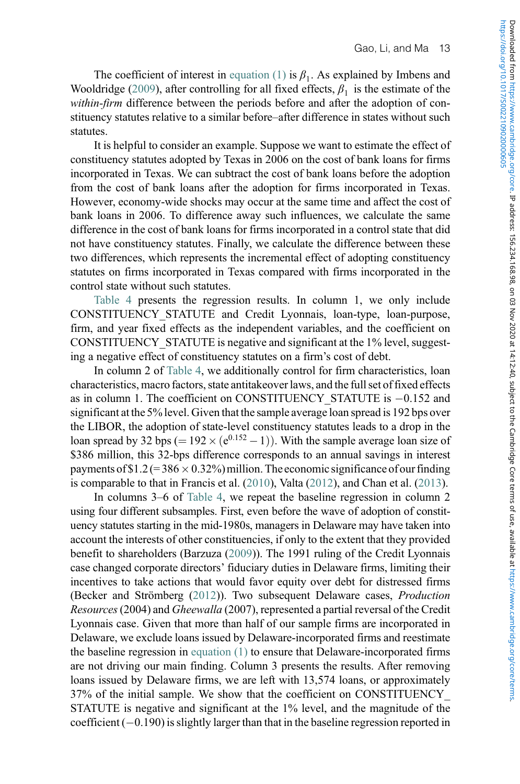The coefficient of interest in [equation \(1\)](#page-11-0) is  $\beta_1$ . As explained by Imbens and Wooldridge [\(2009](#page-35-17)), after controlling for all fixed effects,  $\beta_1$  is the estimate of the within-firm difference between the periods before and after the adoption of constituency statutes relative to a similar before–after difference in states without such statutes.

It is helpful to consider an example. Suppose we want to estimate the effect of constituency statutes adopted by Texas in 2006 on the cost of bank loans for firms incorporated in Texas. We can subtract the cost of bank loans before the adoption from the cost of bank loans after the adoption for firms incorporated in Texas. However, economy-wide shocks may occur at the same time and affect the cost of bank loans in 2006. To difference away such influences, we calculate the same difference in the cost of bank loans for firms incorporated in a control state that did not have constituency statutes. Finally, we calculate the difference between these two differences, which represents the incremental effect of adopting constituency statutes on firms incorporated in Texas compared with firms incorporated in the control state without such statutes.

[Table 4](#page-13-0) presents the regression results. In column 1, we only include CONSTITUENCY\_STATUTE and Credit Lyonnais, loan-type, loan-purpose, firm, and year fixed effects as the independent variables, and the coefficient on CONSTITUENCY\_STATUTE is negative and significant at the 1% level, suggesting a negative effect of constituency statutes on a firm's cost of debt.

In column 2 of [Table 4,](#page-13-0) we additionally control for firm characteristics, loan characteristics, macro factors, state antitakeover laws, and the full set of fixed effects as in column 1. The coefficient on CONSTITUENCY\_STATUTE is  $-0.152$  and significant at the 5% level. Given that the sample average loan spread is 192 bps over the LIBOR, the adoption of state-level constituency statutes leads to a drop in the loan spread by 32 bps (=  $192 \times (e^{0.152} - 1)$ ). With the sample average loan size of \$386 million, this 32-bps difference corresponds to an annual savings in interest payments of  $$1.2$  (= 386  $\times$  0.32%) million. The economic significance of our finding is comparable to that in Francis et al. [\(2010](#page-34-19)), Valta [\(2012](#page-36-11)), and Chan et al. [\(2013](#page-33-2)).

In columns 3–6 of [Table 4](#page-13-0), we repeat the baseline regression in column 2 using four different subsamples. First, even before the wave of adoption of constituency statutes starting in the mid-1980s, managers in Delaware may have taken into account the interests of other constituencies, if only to the extent that they provided benefit to shareholders (Barzuza [\(2009](#page-33-18))). The 1991 ruling of the Credit Lyonnais case changed corporate directors' fiduciary duties in Delaware firms, limiting their incentives to take actions that would favor equity over debt for distressed firms (Becker and Strömberg ([2012\)](#page-33-4)). Two subsequent Delaware cases, Production Resources(2004) and Gheewalla (2007), represented a partial reversal of the Credit Lyonnais case. Given that more than half of our sample firms are incorporated in Delaware, we exclude loans issued by Delaware-incorporated firms and reestimate the baseline regression in [equation \(1\)](#page-11-0) to ensure that Delaware-incorporated firms are not driving our main finding. Column 3 presents the results. After removing loans issued by Delaware firms, we are left with 13,574 loans, or approximately 37% of the initial sample. We show that the coefficient on CONSTITUENCY\_ STATUTE is negative and significant at the 1% level, and the magnitude of the coefficient  $(-0.190)$  is slightly larger than that in the baseline regression reported in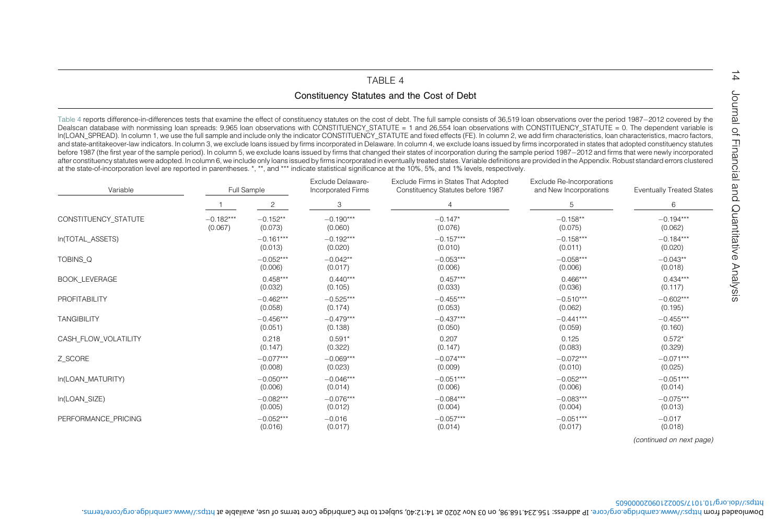#### <span id="page-13-1"></span>TABLE 4Constituency Statutes and the Cost of Debt

<span id="page-13-0"></span>[Table](#page-13-1) 4 reports difference-in-differences tests that examine the effect of constituency statutes on the cost of debt. The full sample consists of 36,519 loan observations over the period 1987–2012 covered by the Dealscan database with nonmissing loan spreads: 9,965 loan observations with CONSTITUENCY\_STATUTE = 1 and 26,554 loan observations with CONSTITUENCY\_STATUTE = 0. The dependent variable is In(LOAN\_SPREAD). In column 1, we use the full sample and include only the indicator CONSTITUENCY\_STATUTE and fixed effects (FE). In column 2, we add firm characteristics, loan characteristics, macro factors, and state-antitakeover-law indicators. In column 3, we exclude loans issued by firms incorporated in Delaware. In column 4, we exclude loans issued by firms incorporated in states that adopted constituency statutes before 1987 (the first year of the sample period). In column 5, we exclude loans issued by firms that changed their states of incorporation during the sample period 1987-2012 and firms that were newly incorporated after constituency statutes were adopted. In column 6, we include only loans issued by firms incorporated in eventually treated states. Variable definitions are provided in the Appendix. Robust standard errors clustered at the state-of-incorporation level are reported in parentheses. \*, \*\*, and \*\*\* indicate statistical significance at the 10%, 5%, and 1% levels, respectively.

| Variable             | Full Sample            |                        | Exclude Delaware-<br>Incorporated Firms | Exclude Firms in States That Adopted<br>Constituency Statutes before 1987 | Exclude Re-Incorporations<br>and New Incorporations | <b>Eventually Treated States</b> |
|----------------------|------------------------|------------------------|-----------------------------------------|---------------------------------------------------------------------------|-----------------------------------------------------|----------------------------------|
|                      |                        | $\overline{c}$         | 3                                       |                                                                           | 5                                                   | 6                                |
| CONSTITUENCY STATUTE | $-0.182***$<br>(0.067) | $-0.152**$<br>(0.073)  | $-0.190***$<br>(0.060)                  | $-0.147*$<br>(0.076)                                                      | $-0.158**$<br>(0.075)                               | $-0.194***$<br>(0.062)           |
| In(TOTAL ASSETS)     |                        | $-0.161***$<br>(0.013) | $-0.192***$<br>(0.020)                  | $-0.157***$<br>(0.010)                                                    | $-0.158***$<br>(0.011)                              | $-0.184***$<br>(0.020)           |
| TOBINS Q             |                        | $-0.052***$<br>(0.006) | $-0.042**$<br>(0.017)                   | $-0.053***$<br>(0.006)                                                    | $-0.058***$<br>(0.006)                              | $-0.043**$<br>(0.018)            |
| <b>BOOK LEVERAGE</b> |                        | $0.458***$<br>(0.032)  | $0.440***$<br>(0.105)                   | $0.457***$<br>(0.033)                                                     | $0.466***$<br>(0.036)                               | $0.434***$<br>(0.117)            |
| <b>PROFITABILITY</b> |                        | $-0.462***$<br>(0.058) | $-0.525***$<br>(0.174)                  | $-0.455***$<br>(0.053)                                                    | $-0.510***$<br>(0.062)                              | $-0.602***$<br>(0.195)           |
| <b>TANGIBILITY</b>   |                        | $-0.456***$<br>(0.051) | $-0.479***$<br>(0.138)                  | $-0.437***$<br>(0.050)                                                    | $-0.441***$<br>(0.059)                              | $-0.455***$<br>(0.160)           |
| CASH FLOW VOLATILITY |                        | 0.218<br>(0.147)       | $0.591*$<br>(0.322)                     | 0.207<br>(0.147)                                                          | 0.125<br>(0.083)                                    | $0.572*$<br>(0.329)              |
| Z_SCORE              |                        | $-0.077***$<br>(0.008) | $-0.069***$<br>(0.023)                  | $-0.074***$<br>(0.009)                                                    | $-0.072***$<br>(0.010)                              | $-0.071***$<br>(0.025)           |
| In(LOAN_MATURITY)    |                        | $-0.050***$<br>(0.006) | $-0.046***$<br>(0.014)                  | $-0.051***$<br>(0.006)                                                    | $-0.052***$<br>(0.006)                              | $-0.051***$<br>(0.014)           |
| In(LOAN SIZE)        |                        | $-0.082***$<br>(0.005) | $-0.076***$<br>(0.012)                  | $-0.084***$<br>(0.004)                                                    | $-0.083***$<br>(0.004)                              | $-0.075***$<br>(0.013)           |
| PERFORMANCE PRICING  |                        | $-0.052***$<br>(0.016) | $-0.016$<br>(0.017)                     | $-0.057***$<br>(0.014)                                                    | $-0.051***$<br>(0.017)                              | $-0.017$<br>(0.018)              |

. https://www.cambridge.org/core. He additional subject or the Cambridge Core terms of the Cambridge Core terms and 15 at 15:24:12:40 populs at 14:12:40 at 14:12:40 and the Cambridge Core terms www.cambridge.org/core/terms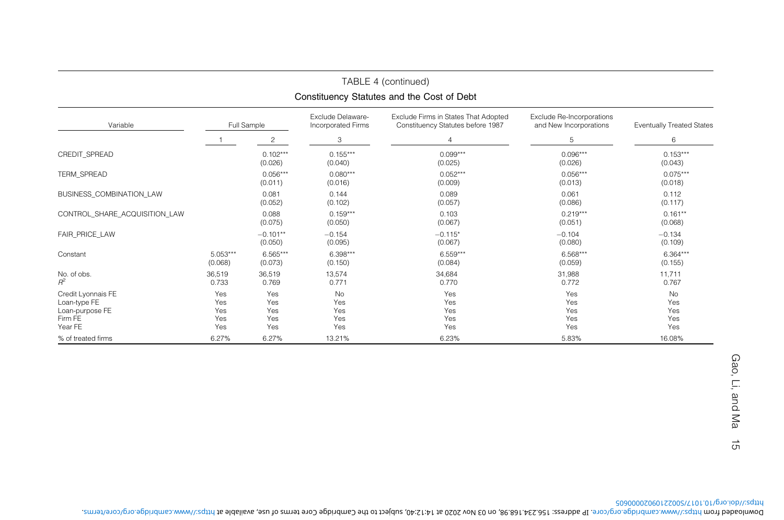| Constituency Statutes and the Cost of Debt                                  |                                 |                                 |                                         |                                                                           |                                                     |                                       |
|-----------------------------------------------------------------------------|---------------------------------|---------------------------------|-----------------------------------------|---------------------------------------------------------------------------|-----------------------------------------------------|---------------------------------------|
| Variable                                                                    | Full Sample                     |                                 | Exclude Delaware-<br>Incorporated Firms | Exclude Firms in States That Adopted<br>Constituency Statutes before 1987 | Exclude Re-Incorporations<br>and New Incorporations | <b>Eventually Treated States</b>      |
|                                                                             |                                 | $\overline{c}$                  | 3                                       |                                                                           | 5                                                   | 6                                     |
| CREDIT SPREAD                                                               |                                 | $0.102***$<br>(0.026)           | $0.155***$<br>(0.040)                   | $0.099***$<br>(0.025)                                                     | $0.096***$<br>(0.026)                               | $0.153***$<br>(0.043)                 |
| TERM SPREAD                                                                 |                                 | $0.056***$<br>(0.011)           | $0.080***$<br>(0.016)                   | $0.052***$<br>(0.009)                                                     | $0.056***$<br>(0.013)                               | $0.075***$<br>(0.018)                 |
| BUSINESS_COMBINATION_LAW                                                    |                                 | 0.081<br>(0.052)                | 0.144<br>(0.102)                        | 0.089<br>(0.057)                                                          | 0.061<br>(0.086)                                    | 0.112<br>(0.117)                      |
| CONTROL SHARE ACQUISITION LAW                                               |                                 | 0.088<br>(0.075)                | $0.159***$<br>(0.050)                   | 0.103<br>(0.067)                                                          | $0.219***$<br>(0.051)                               | $0.161**$<br>(0.068)                  |
| FAIR PRICE LAW                                                              |                                 | $-0.101**$<br>(0.050)           | $-0.154$<br>(0.095)                     | $-0.115*$<br>(0.067)                                                      | $-0.104$<br>(0.080)                                 | $-0.134$<br>(0.109)                   |
| Constant                                                                    | $5.053***$<br>(0.068)           | 6.565***<br>(0.073)             | $6.398***$<br>(0.150)                   | $6.559***$<br>(0.084)                                                     | $6.568***$<br>(0.059)                               | $6.364***$<br>(0.155)                 |
| No. of obs.<br>$R^2$                                                        | 36,519<br>0.733                 | 36,519<br>0.769                 | 13,574<br>0.771                         | 34,684<br>0.770                                                           | 31,988<br>0.772                                     | 11,711<br>0.767                       |
| Credit Lyonnais FE<br>Loan-type FE<br>Loan-purpose FE<br>Firm FE<br>Year FE | Yes<br>Yes<br>Yes<br>Yes<br>Yes | Yes<br>Yes<br>Yes<br>Yes<br>Yes | <b>No</b><br>Yes<br>Yes<br>Yes<br>Yes   | Yes<br>Yes<br>Yes<br>Yes<br>Yes                                           | Yes<br>Yes<br>Yes<br>Yes<br>Yes                     | <b>No</b><br>Yes<br>Yes<br>Yes<br>Yes |
| % of treated firms                                                          | 6.27%                           | 6.27%                           | 13.21%                                  | 6.23%                                                                     | 5.83%                                               | 16.08%                                |

# TABLE 4 (continued)

en to the court of the CO2000020001200120005005 (Sample of the Co24 TeSS) on US Nov 2020 at 0.15 2:40, subject to the Cambridge Core terms of us assisted that Sample at May 2020 to the comparing the Subject to the Cosensi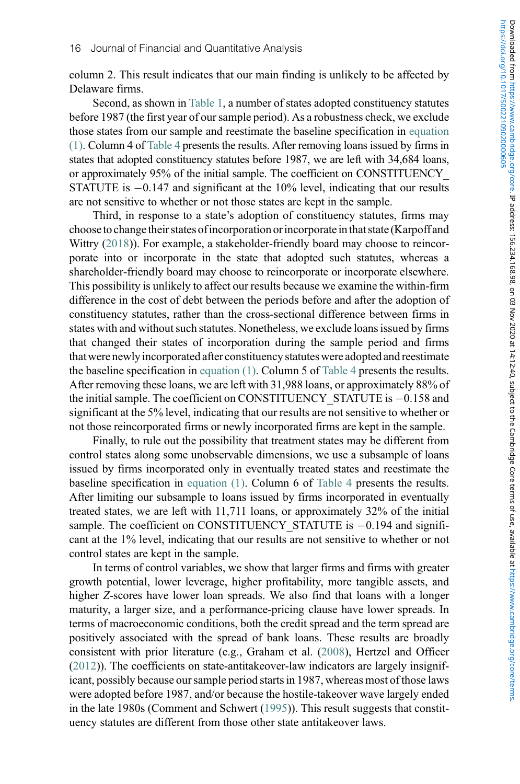column 2. This result indicates that our main finding is unlikely to be affected by Delaware firms.

Second, as shown in [Table 1](#page-5-1), a number of states adopted constituency statutes before 1987 (the first year of our sample period). As a robustness check, we exclude those states from our sample and reestimate the baseline specification in [equation](#page-11-0) [\(1\)](#page-11-0). Column 4 of [Table 4](#page-13-0) presents the results. After removing loans issued by firms in states that adopted constituency statutes before 1987, we are left with 34,684 loans, or approximately 95% of the initial sample. The coefficient on CONSTITUENCY\_ STATUTE is  $-0.147$  and significant at the 10% level, indicating that our results are not sensitive to whether or not those states are kept in the sample.

Third, in response to a state's adoption of constituency statutes, firms may chooseto changetheir states ofincorporation orincorporateinthat state (Karpoff and Wittry ([2018\)](#page-35-11)). For example, a stakeholder-friendly board may choose to reincorporate into or incorporate in the state that adopted such statutes, whereas a shareholder-friendly board may choose to reincorporate or incorporate elsewhere. This possibility is unlikely to affect our results because we examine the within-firm difference in the cost of debt between the periods before and after the adoption of constituency statutes, rather than the cross-sectional difference between firms in states with and without such statutes. Nonetheless, we exclude loans issued by firms that changed their states of incorporation during the sample period and firms that were newlyincorporated after constituency statutes were adopted and reestimate the baseline specification in [equation \(1\)](#page-11-0). Column 5 of [Table 4](#page-13-0) presents the results. After removing these loans, we are left with 31,988 loans, or approximately 88% of the initial sample. The coefficient on CONSTITUENCY STATUTE is  $-0.158$  and significant at the 5% level, indicating that our results are not sensitive to whether or not those reincorporated firms or newly incorporated firms are kept in the sample.

Finally, to rule out the possibility that treatment states may be different from control states along some unobservable dimensions, we use a subsample of loans issued by firms incorporated only in eventually treated states and reestimate the baseline specification in [equation \(1\).](#page-11-0) Column 6 of [Table 4](#page-13-0) presents the results. After limiting our subsample to loans issued by firms incorporated in eventually treated states, we are left with 11,711 loans, or approximately 32% of the initial sample. The coefficient on CONSTITUENCY STATUTE is  $-0.194$  and significant at the 1% level, indicating that our results are not sensitive to whether or not control states are kept in the sample.

In terms of control variables, we show that larger firms and firms with greater growth potential, lower leverage, higher profitability, more tangible assets, and higher Z-scores have lower loan spreads. We also find that loans with a longer maturity, a larger size, and a performance-pricing clause have lower spreads. In terms of macroeconomic conditions, both the credit spread and the term spread are positively associated with the spread of bank loans. These results are broadly consistent with prior literature (e.g., Graham et al. ([2008\)](#page-34-4), Hertzel and Officer [\(2012\)](#page-35-5)). The coefficients on state-antitakeover-law indicators are largely insignificant, possibly because our sample period starts in 1987, whereas most of those laws were adopted before 1987, and/or because the hostile-takeover wave largely ended in the late 1980s (Comment and Schwert [\(1995](#page-34-21))). This result suggests that constituency statutes are different from those other state antitakeover laws.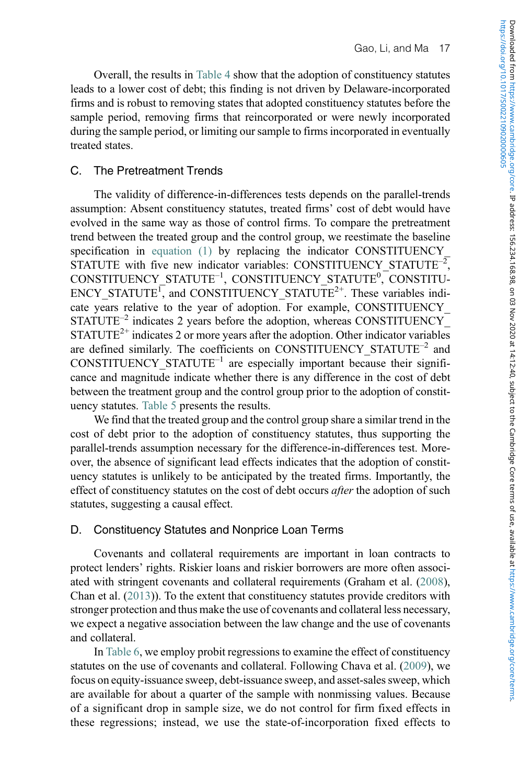Overall, the results in [Table 4](#page-13-0) show that the adoption of constituency statutes leads to a lower cost of debt; this finding is not driven by Delaware-incorporated firms and is robust to removing states that adopted constituency statutes before the sample period, removing firms that reincorporated or were newly incorporated during the sample period, or limiting our sample to firms incorporated in eventually treated states.

### C. The Pretreatment Trends

The validity of difference-in-differences tests depends on the parallel-trends assumption: Absent constituency statutes, treated firms' cost of debt would have evolved in the same way as those of control firms. To compare the pretreatment trend between the treated group and the control group, we reestimate the baseline specification in [equation \(1\)](#page-11-0) by replacing the indicator CONSTITUENCY STATUTE with five new indicator variables: CONSTITUENCY\_STATUTE<sup> $-2$ </sup>, CONSTITUENCY\_STATUTE<sup>-1</sup>, CONSTITUENCY\_STATUTE<sup>0</sup>, CONSTITU- $ENCY\_STATUTE^{\overline{1}}$ , and CONSTITUENCY\_STATUTE<sup>2+</sup>. These variables indicate years relative to the year of adoption. For example, CONSTITUENCY\_ STATUTE<sup>-2</sup> indicates 2 years before the adoption, whereas CONSTITUENCY  $STATUTE<sup>2+</sup> indicates 2 or more years after the adoption. Other indicator variables$ are defined similarly. The coefficients on CONSTITUENCY STATUTE<sup> $-2$ </sup> and CONSTITUENCY STATUTE $^{-1}$  are especially important because their significance and magnitude indicate whether there is any difference in the cost of debt between the treatment group and the control group prior to the adoption of constituency statutes. [Table 5](#page-17-1) presents the results.

We find that the treated group and the control group share a similar trend in the cost of debt prior to the adoption of constituency statutes, thus supporting the parallel-trends assumption necessary for the difference-in-differences test. Moreover, the absence of significant lead effects indicates that the adoption of constituency statutes is unlikely to be anticipated by the treated firms. Importantly, the effect of constituency statutes on the cost of debt occurs *after* the adoption of such statutes, suggesting a causal effect.

### D. Constituency Statutes and Nonprice Loan Terms

Covenants and collateral requirements are important in loan contracts to protect lenders' rights. Riskier loans and riskier borrowers are more often associated with stringent covenants and collateral requirements (Graham et al. ([2008\)](#page-34-4), Chan et al. [\(2013](#page-33-2))). To the extent that constituency statutes provide creditors with stronger protection and thus make the use of covenants and collateral less necessary, we expect a negative association between the law change and the use of covenants and collateral.

In [Table 6](#page-18-0), we employ probit regressions to examine the effect of constituency statutes on the use of covenants and collateral. Following Chava et al. ([2009\)](#page-34-6), we focus on equity-issuance sweep, debt-issuance sweep, and asset-sales sweep, which are available for about a quarter of the sample with nonmissing values. Because of a significant drop in sample size, we do not control for firm fixed effects in these regressions; instead, we use the state-of-incorporation fixed effects to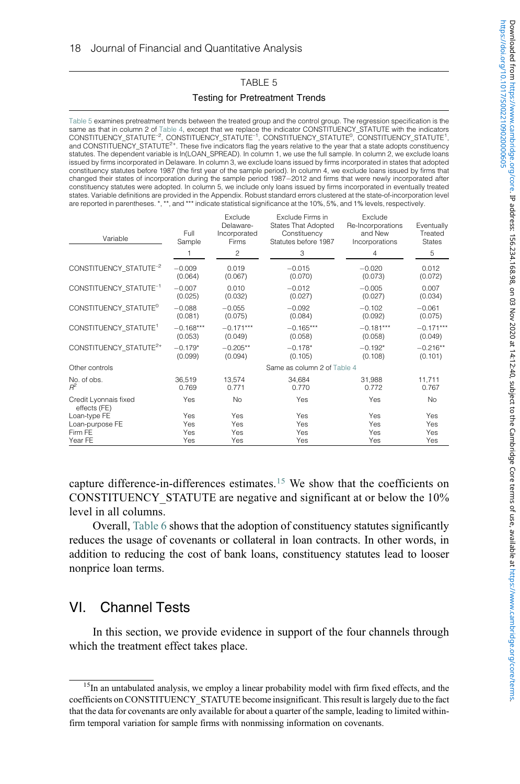## TABLE 5 Testing for Pretreatment Trends

<span id="page-17-1"></span>[Table 5](#page-17-1) examines pretreatment trends between the treated group and the control group. The regression specification is the same as that in column 2 of [Table 4](#page-13-0), except that we replace the indicator CONSTITUENCY\_STATUTE with the indicators<br>CONSTITUENCY\_STATUTE<sup>-2</sup>, CONSTITUENCY\_STATUTE<sup>-1</sup>, CONSTITUENCY\_STATUTE<sup>S</sup>, CONSTITUENCY\_STATUTEN<br>and CONS statutes. The dependent variable is ln(LOAN\_SPREAD). In column 1, we use the full sample. In column 2, we exclude loans issued by firms incorporated in Delaware. In column 3, we exclude loans issued by firms incorporated in states that adopted constituency statutes before 1987 (the first year of the sample period). In column 4, we exclude loans issued by firms that changed their states of incorporation during the sample period 1987-2012 and firms that were newly incorporated after constituency statutes were adopted. In column 5, we include only loans issued by firms incorporated in eventually treated states. Variable definitions are provided in the Appendix. Robust standard errors clustered at the state-of-incorporation leve<br>are reported in parentheses. \*, \*\*, and \*\*\* indicate statistical significance at the 10%, 5%, a

| Variable                              | Full<br>Sample         | Exclude<br>Delaware-<br>Incorporated<br>Firms | Exclude Firms in<br><b>States That Adopted</b><br>Constituency<br>Statutes before 1987 | Exclude<br>Re-Incorporations<br>and New<br>Incorporations | Eventually<br>Treated<br><b>States</b> |
|---------------------------------------|------------------------|-----------------------------------------------|----------------------------------------------------------------------------------------|-----------------------------------------------------------|----------------------------------------|
|                                       |                        | 2                                             | 3                                                                                      | 4                                                         | 5                                      |
| CONSTITUENCY STATUTE <sup>-2</sup>    | $-0.009$<br>(0.064)    | 0.019<br>(0.067)                              | $-0.015$<br>(0.070)                                                                    | $-0.020$<br>(0.073)                                       | 0.012<br>(0.072)                       |
| CONSTITUENCY_STATUTE <sup>-1</sup>    | $-0.007$<br>(0.025)    | 0.010<br>(0.032)                              | $-0.012$<br>(0.027)                                                                    | $-0.005$<br>(0.027)                                       | 0.007<br>(0.034)                       |
| CONSTITUENCY STATUTE <sup>0</sup>     | $-0.088$<br>(0.081)    | $-0.055$<br>(0.075)                           | $-0.092$<br>(0.084)                                                                    | $-0.102$<br>(0.092)                                       | $-0.061$<br>(0.075)                    |
| CONSTITUENCY STATUTE <sup>1</sup>     | $-0.168***$<br>(0.053) | $-0.171***$<br>(0.049)                        | $-0.165***$<br>(0.058)                                                                 | $-0.181***$<br>(0.058)                                    | $-0.171***$<br>(0.049)                 |
| CONSTITUENCY STATUTE <sup>2+</sup>    | $-0.179*$<br>(0.099)   | $-0.205**$<br>(0.094)                         | $-0.178*$<br>(0.105)                                                                   | $-0.192*$<br>(0.108)                                      | $-0.216**$<br>(0.101)                  |
| Other controls                        |                        |                                               | Same as column 2 of Table 4                                                            |                                                           |                                        |
| No. of obs.<br>$R^2$                  | 36,519<br>0.769        | 13,574<br>0.771                               | 34.684<br>0.770                                                                        | 31,988<br>0.772                                           | 11,711<br>0.767                        |
| Credit Lyonnais fixed<br>effects (FE) | Yes                    | No.                                           | Yes                                                                                    | Yes                                                       | <b>No</b>                              |
| Loan-type FE                          | Yes                    | <b>Yes</b>                                    | Yes                                                                                    | Yes                                                       | Yes                                    |
| Loan-purpose FE                       | Yes                    | Yes                                           | Yes                                                                                    | Yes                                                       | Yes                                    |
| Firm FE                               | Yes                    | Yes                                           | Yes                                                                                    | Yes                                                       | Yes                                    |
| Year FE                               | Yes                    | Yes                                           | Yes                                                                                    | Yes                                                       | Yes                                    |

capture difference-in-differences estimates.[15](#page-17-2) We show that the coefficients on CONSTITUENCY\_STATUTE are negative and significant at or below the 10% level in all columns.

Overall, [Table 6](#page-18-0) shows that the adoption of constituency statutes significantly reduces the usage of covenants or collateral in loan contracts. In other words, in addition to reducing the cost of bank loans, constituency statutes lead to looser nonprice loan terms.

# <span id="page-17-0"></span>VI. Channel Tests

In this section, we provide evidence in support of the four channels through which the treatment effect takes place.

<span id="page-17-2"></span><sup>&</sup>lt;sup>15</sup>In an untabulated analysis, we employ a linear probability model with firm fixed effects, and the coefficients on CONSTITUENCY\_STATUTE become insignificant. This result is largely due to the fact that the data for covenants are only available for about a quarter of the sample, leading to limited withinfirm temporal variation for sample firms with nonmissing information on covenants.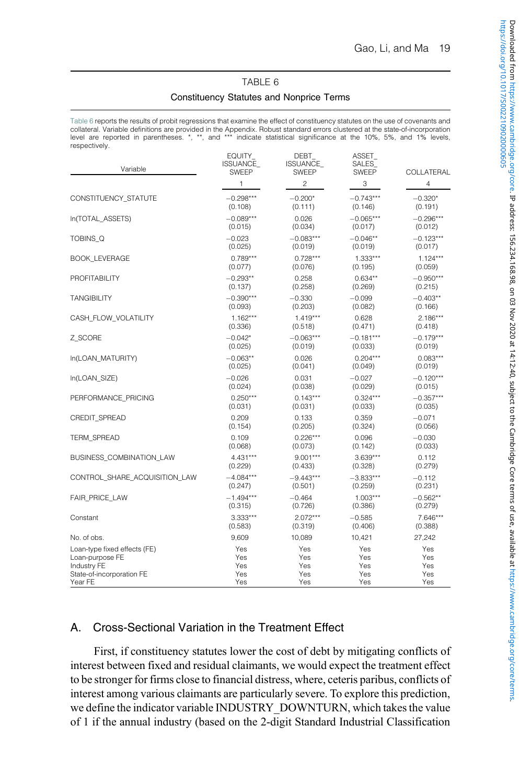### TABLE 6 Constituency Statutes and Nonprice Terms

<span id="page-18-0"></span>[Table 6](#page-18-0) reports the results of probit regressions that examine the effect of constituency statutes on the use of covenants and collateral. Variable definitions are provided in the Appendix. Robust standard errors clustered at the state-of-incorporation level are reported in parentheses. \*, \*\*, and \*\*\* indicate statistical significance at the 10%, 5%, and 1% levels, respectively.

| Variable                        | <b>EQUITY</b><br>ISSUANCE<br><b>SWEEP</b> | DEBT<br>ISSUANCE<br><b>SWEEP</b> | ASSET<br>SALES<br><b>SWEEP</b> | COLLATERAL  |
|---------------------------------|-------------------------------------------|----------------------------------|--------------------------------|-------------|
|                                 | 1                                         | $\overline{c}$                   | 3                              | 4           |
| CONSTITUENCY STATUTE            | $-0.298***$                               | $-0.200*$                        | $-0.743***$                    | $-0.320*$   |
|                                 | (0.108)                                   | (0.111)                          | (0.146)                        | (0.191)     |
| In(TOTAL_ASSETS)                | $-0.089***$                               | 0.026                            | $-0.065***$                    | $-0.296***$ |
|                                 | (0.015)                                   | (0.034)                          | (0.017)                        | (0.012)     |
| TOBINS Q                        | $-0.023$                                  | $-0.083***$                      | $-0.046**$                     | $-0.123***$ |
|                                 | (0.025)                                   | (0.019)                          | (0.019)                        | (0.017)     |
| <b>BOOK LEVERAGE</b>            | $0.789***$                                | $0.728***$                       | $1.333***$                     | $1.124***$  |
|                                 | (0.077)                                   | (0.076)                          | (0.195)                        | (0.059)     |
| <b>PROFITABILITY</b>            | $-0.293**$                                | 0.258                            | $0.634**$                      | $-0.950***$ |
|                                 | (0.137)                                   | (0.258)                          | (0.269)                        | (0.215)     |
| <b>TANGIBILITY</b>              | $-0.390***$                               | $-0.330$                         | $-0.099$                       | $-0.403**$  |
|                                 | (0.093)                                   | (0.203)                          | (0.082)                        | (0.166)     |
| CASH_FLOW_VOLATILITY            | $1.162***$                                | $1.419***$                       | 0.628                          | $2.186***$  |
|                                 | (0.336)                                   | (0.518)                          | (0.471)                        | (0.418)     |
| Z SCORE                         | $-0.042*$                                 | $-0.063***$                      | $-0.181***$                    | $-0.179***$ |
|                                 | (0.025)                                   | (0.019)                          | (0.033)                        | (0.019)     |
| In(LOAN_MATURITY)               | $-0.063**$                                | 0.026                            | $0.204***$                     | $0.083***$  |
|                                 | (0.025)                                   | (0.041)                          | (0.049)                        | (0.019)     |
| In(LOAN SIZE)                   | $-0.026$                                  | 0.031                            | $-0.027$                       | $-0.120***$ |
|                                 | (0.024)                                   | (0.038)                          | (0.029)                        | (0.015)     |
| PERFORMANCE_PRICING             | $0.250***$                                | $0.143***$                       | $0.324***$                     | $-0.357***$ |
|                                 | (0.031)                                   | (0.031)                          | (0.033)                        | (0.035)     |
| CREDIT SPREAD                   | 0.209                                     | 0.133                            | 0.359                          | $-0.071$    |
|                                 | (0.154)                                   | (0.205)                          | (0.324)                        | (0.056)     |
| <b>TERM SPREAD</b>              | 0.109                                     | $0.226***$                       | 0.096                          | $-0.030$    |
|                                 | (0.068)                                   | (0.073)                          | (0.142)                        | (0.033)     |
| <b>BUSINESS COMBINATION LAW</b> | $4.431***$                                | $9.001***$                       | $3.639***$                     | 0.112       |
|                                 | (0.229)                                   | (0.433)                          | (0.328)                        | (0.279)     |
| CONTROL SHARE ACQUISITION LAW   | $-4.084***$                               | $-9.443***$                      | $-3.833***$                    | $-0.112$    |
|                                 | (0.247)                                   | (0.501)                          | (0.259)                        | (0.231)     |
| <b>FAIR PRICE LAW</b>           | $-1.494***$                               | $-0.464$                         | $1.003***$                     | $-0.562**$  |
|                                 | (0.315)                                   | (0.726)                          | (0.386)                        | (0.279)     |
| Constant                        | $3.333***$                                | $2.072***$                       | $-0.585$                       | 7.646***    |
|                                 | (0.583)                                   | (0.319)                          | (0.406)                        | (0.388)     |
| No. of obs.                     | 9,609                                     | 10,089                           | 10,421                         | 27,242      |
| Loan-type fixed effects (FE)    | Yes                                       | Yes                              | Yes                            | Yes         |
| Loan-purpose FE                 | Yes                                       | Yes                              | Yes                            | Yes         |
| Industry FE                     | Yes                                       | Yes                              | Yes                            | Yes         |
| State-of-incorporation FE       | Yes                                       | Yes                              | Yes                            | Yes         |
| Year FE                         | Yes                                       | Yes                              | Yes                            | Yes         |

## A. Cross-Sectional Variation in the Treatment Effect

First, if constituency statutes lower the cost of debt by mitigating conflicts of interest between fixed and residual claimants, we would expect the treatment effect to be stronger for firms close to financial distress, where, ceteris paribus, conflicts of interest among various claimants are particularly severe. To explore this prediction, we define the indicator variable INDUSTRY\_DOWNTURN, which takes the value of 1 if the annual industry (based on the 2-digit Standard Industrial Classification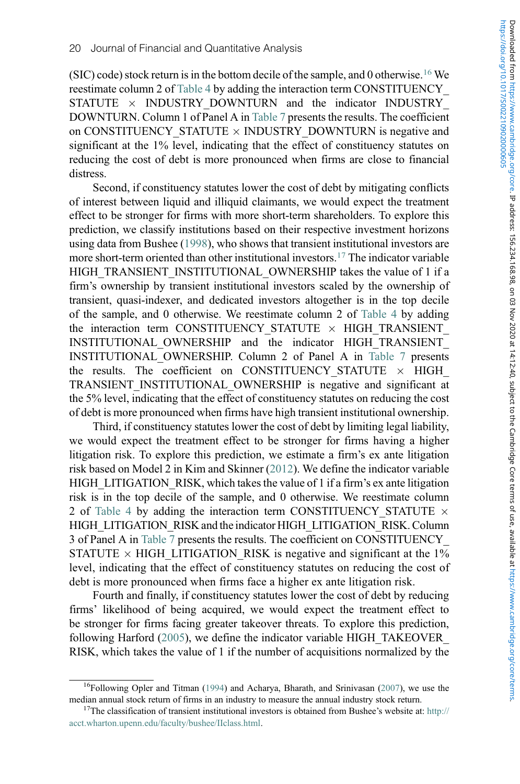(SIC) code) stock return is in the bottom decile of the sample, and 0 otherwise.<sup>[16](#page-19-0)</sup> We reestimate column 2 of [Table 4](#page-13-0) by adding the interaction term CONSTITUENCY\_ STATUTE  $\times$  INDUSTRY DOWNTURN and the indicator INDUSTRY DOWNTURN. Column 1 of Panel A in [Table 7](#page-20-0) presents the results. The coefficient on CONSTITUENCY STATUTE  $\times$  INDUSTRY DOWNTURN is negative and significant at the 1% level, indicating that the effect of constituency statutes on reducing the cost of debt is more pronounced when firms are close to financial distress.

Second, if constituency statutes lower the cost of debt by mitigating conflicts of interest between liquid and illiquid claimants, we would expect the treatment effect to be stronger for firms with more short-term shareholders. To explore this prediction, we classify institutions based on their respective investment horizons using data from Bushee [\(1998](#page-33-9)), who shows that transient institutional investors are more short-term oriented than other institutional investors.<sup>17</sup> The indicator variable HIGH\_TRANSIENT\_INSTITUTIONAL\_OWNERSHIP takes the value of 1 if a firm's ownership by transient institutional investors scaled by the ownership of transient, quasi-indexer, and dedicated investors altogether is in the top decile of the sample, and 0 otherwise. We reestimate column 2 of [Table 4](#page-13-0) by adding the interaction term CONSTITUENCY STATUTE  $\times$  HIGH TRANSIENT INSTITUTIONAL\_OWNERSHIP and the indicator HIGH\_TRANSIENT\_ INSTITUTIONAL\_OWNERSHIP. Column 2 of Panel A in [Table 7](#page-20-0) presents the results. The coefficient on CONSTITUENCY STATUTE  $\times$  HIGH TRANSIENT\_INSTITUTIONAL\_OWNERSHIP is negative and significant at the 5% level, indicating that the effect of constituency statutes on reducing the cost of debt is more pronounced when firms have high transient institutional ownership.

Third, if constituency statutes lower the cost of debt by limiting legal liability, we would expect the treatment effect to be stronger for firms having a higher litigation risk. To explore this prediction, we estimate a firm's ex ante litigation risk based on Model 2 in Kim and Skinner [\(2012](#page-35-18)). We define the indicator variable HIGH\_LITIGATION\_RISK, which takes the value of 1 if a firm's ex ante litigation risk is in the top decile of the sample, and 0 otherwise. We reestimate column 2 of [Table 4](#page-13-0) by adding the interaction term CONSTITUENCY STATUTE  $\times$ HIGH\_LITIGATION\_RISK and the indicator HIGH\_LITIGATION\_RISK. Column 3 of Panel A in [Table 7](#page-20-0) presents the results. The coefficient on CONSTITUENCY\_ STATUTE  $\times$  HIGH LITIGATION RISK is negative and significant at the 1% level, indicating that the effect of constituency statutes on reducing the cost of debt is more pronounced when firms face a higher ex ante litigation risk.

Fourth and finally, if constituency statutes lower the cost of debt by reducing firms' likelihood of being acquired, we would expect the treatment effect to be stronger for firms facing greater takeover threats. To explore this prediction, following Harford [\(2005](#page-35-19)), we define the indicator variable HIGH\_TAKEOVER\_ RISK, which takes the value of 1 if the number of acquisitions normalized by the

<span id="page-19-0"></span><sup>&</sup>lt;sup>16</sup>Following Opler and Titman ([1994](#page-35-20)) and Acharya, Bharath, and Srinivasan ([2007\)](#page-33-19), we use the median annual stock return of firms in an industry to measure the annual industry stock return.<br><sup>17</sup>The classification of transient institutional investors is obtained from Bushee's website at: [http://](http://acct.wharton.upenn.edu/faculty/bushee/IIclass.html)

<span id="page-19-1"></span>[acct.wharton.upenn.edu/faculty/bushee/IIclass.html](http://acct.wharton.upenn.edu/faculty/bushee/IIclass.html).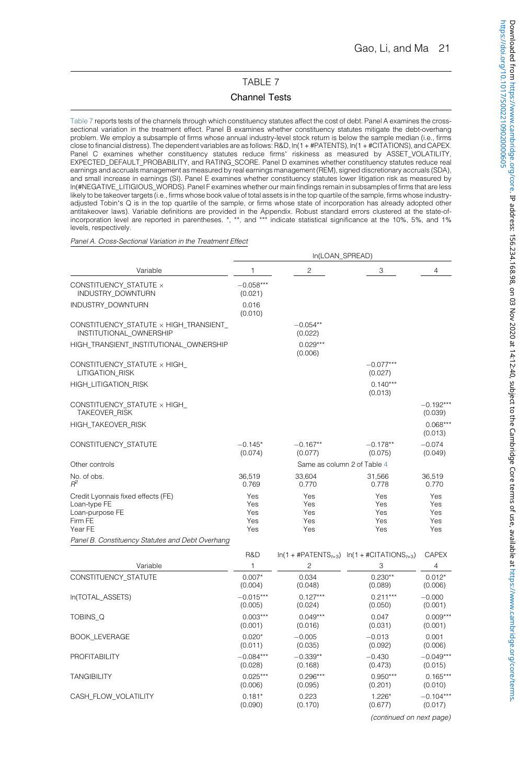### TABLE 7 Channel Tests

<span id="page-20-0"></span>[Table 7](#page-20-0) reports tests of the channels through which constituency statutes affect the cost of debt. Panel A examines the crosssectional variation in the treatment effect. Panel B examines whether constituency statutes mitigate the debt-overhang problem. We employ a subsample of firms whose annual industry-level stock return is below the sample median (i.e., firms close to financial distress). The dependent variables are as follows: R&D, ln(1 + #PATENTS), ln(1 + #CITATIONS), and CAPEX. Panel C examines whether constituency statutes reduce firms' riskiness as measured by ASSET\_VOLATILITY, EXPECTED\_DEFAULT\_PROBABILITY, and RATING\_SCORE. Panel D examines whether constituency statutes reduce real earnings and accruals management as measured by real earnings management (REM), signed discretionary accruals (SDA), and small increase in earnings (SI). Panel E examines whether constituency statutes lower litigation risk as measured by ln(#NEGATIVE\_LITIGIOUS\_WORDS). Panel F examines whether our main findings remain in subsamples of firms that are less likely to be takeover targets (i.e., firms whose book value of total assets is in the top quartile of the sample, firms whose industryadjusted Tobin's Q is in the top quartile of the sample, or firms whose state of incorporation has already adopted other antitakeover laws). Variable definitions are provided in the Appendix. Robust standard errors clustered at the state-ofincorporation level are reported in parentheses. \*, \*\*, and \*\*\* indicate statistical significance at the 10%, 5%, and 1% levels, respectively.

#### Panel A. Cross-Sectional Variation in the Treatment Effect

|                                                                                             | In(LOAN_SPREAD)                 |                                 |                                               |                                 |  |
|---------------------------------------------------------------------------------------------|---------------------------------|---------------------------------|-----------------------------------------------|---------------------------------|--|
| Variable                                                                                    | 1                               | $\overline{c}$                  | 3                                             | 4                               |  |
| CONSTITUENCY STATUTE ×<br>INDUSTRY_DOWNTURN                                                 | $-0.058***$<br>(0.021)          |                                 |                                               |                                 |  |
| INDUSTRY_DOWNTURN                                                                           | 0.016<br>(0.010)                |                                 |                                               |                                 |  |
| CONSTITUENCY_STATUTE x HIGH_TRANSIENT_<br>INSTITUTIONAL OWNERSHIP                           |                                 | $-0.054**$<br>(0.022)           |                                               |                                 |  |
| HIGH_TRANSIENT_INSTITUTIONAL_OWNERSHIP                                                      |                                 | $0.029***$<br>(0.006)           |                                               |                                 |  |
| CONSTITUENCY_STATUTE x HIGH_<br>LITIGATION_RISK                                             |                                 |                                 | $-0.077***$<br>(0.027)                        |                                 |  |
| <b>HIGH LITIGATION RISK</b>                                                                 |                                 |                                 | $0.140***$<br>(0.013)                         |                                 |  |
| CONSTITUENCY STATUTE x HIGH<br>TAKEOVER RISK                                                |                                 |                                 |                                               | $-0.192***$<br>(0.039)          |  |
| HIGH TAKEOVER RISK                                                                          |                                 |                                 |                                               | $0.068***$<br>(0.013)           |  |
| CONSTITUENCY_STATUTE                                                                        | $-0.145*$<br>(0.074)            | $-0.167**$<br>(0.077)           | $-0.178**$<br>(0.075)                         | $-0.074$<br>(0.049)             |  |
| Other controls                                                                              |                                 | Same as column 2 of Table 4     |                                               |                                 |  |
| No. of obs.<br>$R^2$                                                                        | 36,519<br>0.769                 | 33,604<br>0.770                 | 31,566<br>0.778                               | 36,519<br>0.770                 |  |
| Credit Lyonnais fixed effects (FE)<br>Loan-type FE<br>Loan-purpose FE<br>Firm FE<br>Year FE | Yes<br>Yes<br>Yes<br>Yes<br>Yes | Yes<br>Yes<br>Yes<br>Yes<br>Yes | Yes<br>Yes<br>Yes<br>Yes<br>Yes               | Yes<br>Yes<br>Yes<br>Yes<br>Yes |  |
| Panel B. Constituency Statutes and Debt Overhang                                            |                                 |                                 |                                               |                                 |  |
|                                                                                             | R&D                             |                                 | $ln(1 + #PATENTSt+3)$ $ln(1 + #CITATIONSt+3)$ | CAPEX                           |  |
| Variable                                                                                    | $\mathbf{1}$                    | 2                               | 3                                             | 4                               |  |
| CONSTITUENCY STATUTE                                                                        | $0.007*$<br>(0.004)             | 0.034<br>(0.048)                | $0.230**$<br>(0.089)                          | $0.012*$<br>(0.006)             |  |
| In(TOTAL ASSETS)                                                                            | $-0.015***$<br>(0.005)          | $0.127***$<br>(0.024)           | $0.211***$<br>(0.050)                         | $-0.000$<br>(0.001)             |  |
| TOBINS_Q                                                                                    | $0.003***$<br>(0.001)           | $0.049***$<br>(0.016)           | 0.047<br>(0.031)                              | $0.009***$<br>(0.001)           |  |
| <b>BOOK LEVERAGE</b>                                                                        | $0.020*$<br>(0.011)             | $-0.005$<br>(0.035)             | $-0.013$<br>(0.092)                           | 0.001<br>(0.006)                |  |
| <b>PROFITABILITY</b>                                                                        | $-0.084***$<br>(0.028)          | $-0.339**$<br>(0.168)           | $-0.430$<br>(0.473)                           | $-0.049***$<br>(0.015)          |  |
| <b>TANGIBILITY</b>                                                                          | $0.025***$<br>(0.006)           | $0.296***$<br>(0.095)           | $0.950***$<br>(0.201)                         | $0.165***$<br>(0.010)           |  |
| CASH_FLOW_VOLATILITY                                                                        | $0.181*$<br>(0.090)             | 0.223<br>(0.170)                | 1.226*<br>(0.677)                             | $-0.104***$<br>(0.017)          |  |
|                                                                                             |                                 |                                 | (continued on next page)                      |                                 |  |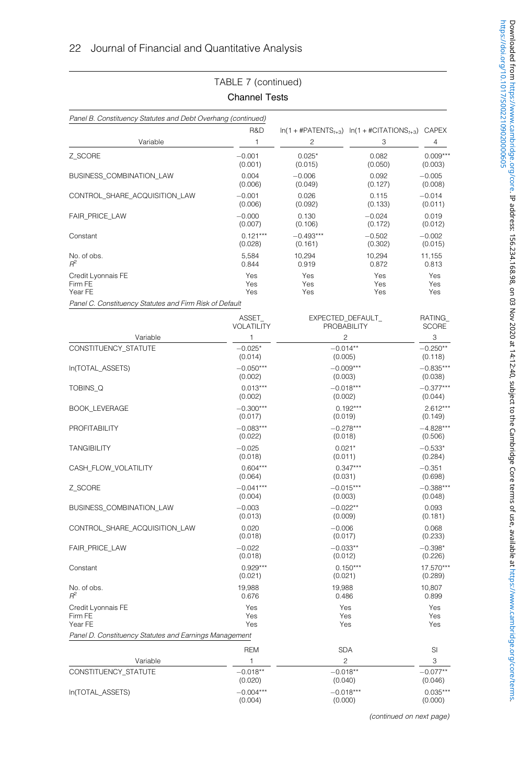|                                                              | TABLE 7 (continued)<br><b>Channel Tests</b> |                                 |                                                                 |                        |
|--------------------------------------------------------------|---------------------------------------------|---------------------------------|-----------------------------------------------------------------|------------------------|
| Panel B. Constituency Statutes and Debt Overhang (continued) |                                             |                                 |                                                                 |                        |
| Variable                                                     | R&D<br>1                                    | 2                               | $ln(1 + #PATHENTS_{t+3})$ $ln(1 + #CITATIONS_{t+3})$ CAPEX<br>3 | 4                      |
| Z_SCORE                                                      | $-0.001$                                    | $0.025*$                        | 0.082                                                           | $0.009***$             |
|                                                              | (0.001)                                     | (0.015)                         | (0.050)                                                         | (0.003)                |
| BUSINESS_COMBINATION_LAW                                     | 0.004<br>(0.006)                            | $-0.006$<br>(0.049)             | 0.092<br>(0.127)                                                | $-0.005$<br>(0.008)    |
| CONTROL_SHARE_ACQUISITION_LAW                                | $-0.001$<br>(0.006)                         | 0.026<br>(0.092)                | 0.115<br>(0.133)                                                | $-0.014$<br>(0.011)    |
| FAIR_PRICE_LAW                                               | $-0.000$<br>(0.007)                         | 0.130<br>(0.106)                | $-0.024$<br>(0.172)                                             | 0.019<br>(0.012)       |
| Constant                                                     | $0.121***$<br>(0.028)                       | $-0.493***$<br>(0.161)          | $-0.502$<br>(0.302)                                             | $-0.002$<br>(0.015)    |
| No. of obs.<br>$R^2$                                         | 5,584<br>0.844                              | 10,294<br>0.919                 | 10,294<br>0.872                                                 | 11,155<br>0.813        |
| Credit Lyonnais FE<br>Firm FE                                | Yes<br>Yes                                  | Yes<br>Yes                      | Yes<br>Yes                                                      | Yes<br>Yes             |
| Year FE                                                      | Yes                                         | Yes                             | Yes                                                             | Yes                    |
| Panel C. Constituency Statutes and Firm Risk of Default      |                                             |                                 |                                                                 |                        |
|                                                              | ASSET_<br>VOLATILITY                        | EXPECTED DEFAULT<br>PROBABILITY |                                                                 | RATING<br><b>SCORE</b> |
| Variable                                                     | 1                                           | $\overline{\mathbf{c}}$         |                                                                 | 3                      |
| CONSTITUENCY_STATUTE                                         | $-0.025*$<br>(0.014)                        | $-0.014**$<br>(0.005)           |                                                                 | $-0.250**$<br>(0.118)  |
| In(TOTAL_ASSETS)                                             | $-0.050***$<br>(0.002)                      | $-0.009***$<br>(0.003)          |                                                                 | $-0.835***$<br>(0.038) |
| TOBINS_Q                                                     | $0.013***$<br>(0.002)                       | $-0.018***$<br>(0.002)          |                                                                 | $-0.377***$<br>(0.044) |
| BOOK_LEVERAGE                                                | $-0.300***$<br>(0.017)                      | (0.019)                         | $0.192***$                                                      | $2.612***$<br>(0.149)  |
| <b>PROFITABILITY</b>                                         | $-0.083***$<br>(0.022)                      | (0.018)                         | $-0.278***$                                                     | $-4.828***$<br>(0.506) |
| <b>TANGIBILITY</b>                                           | $-0.025$<br>(0.018)                         | $0.021*$<br>(0.011)             |                                                                 | $-0.533*$<br>(0.284)   |
| CASH_FLOW_VOLATILITY                                         | $0.604***$<br>(0.064)                       | (0.031)                         | $0.347***$                                                      | $-0.351$<br>(0.698)    |
| Z_SCORE                                                      | $-0.041***$<br>(0.004)                      | (0.003)                         | $-0.015***$                                                     | $-0.388***$<br>(0.048) |
| BUSINESS_COMBINATION_LAW                                     | $-0.003$<br>(0.013)                         | $-0.022**$<br>(0.009)           |                                                                 | 0.093<br>(0.181)       |
| CONTROL_SHARE_ACQUISITION_LAW                                | 0.020<br>(0.018)                            | $-0.006$<br>(0.017)             |                                                                 | 0.068<br>(0.233)       |
| FAIR_PRICE_LAW                                               | $-0.022$<br>(0.018)                         | $-0.033**$<br>(0.012)           |                                                                 | $-0.398*$<br>(0.226)   |
| Constant                                                     | $0.929***$<br>(0.021)                       | (0.021)                         | $0.150***$                                                      | 17.570***<br>(0.289)   |
| No. of obs.<br>$R^2$                                         | 19,988<br>0.676                             | 19,988<br>0.486                 |                                                                 | 10,807<br>0.899        |
| Credit Lyonnais FE<br>Firm FE<br>Year FE                     | Yes<br>Yes<br>Yes                           | Yes<br>Yes                      | Yes                                                             | Yes<br>Yes<br>Yes      |
| Panel D. Constituency Statutes and Earnings Management       |                                             |                                 |                                                                 |                        |
|                                                              | REM                                         |                                 | <b>SDA</b>                                                      | SI                     |
| Variable                                                     | 1                                           |                                 | 2                                                               | 3                      |
| CONSTITUENCY_STATUTE                                         | $-0.018**$<br>(0.020)                       | $-0.018**$<br>(0.040)           |                                                                 | $-0.077**$<br>(0.046)  |
| In(TOTAL ASSETS)                                             | $-0.004***$<br>(0.004)                      | (0.000)                         | $-0.018***$                                                     | $0.035***$<br>(0.000)  |

(continued on next page)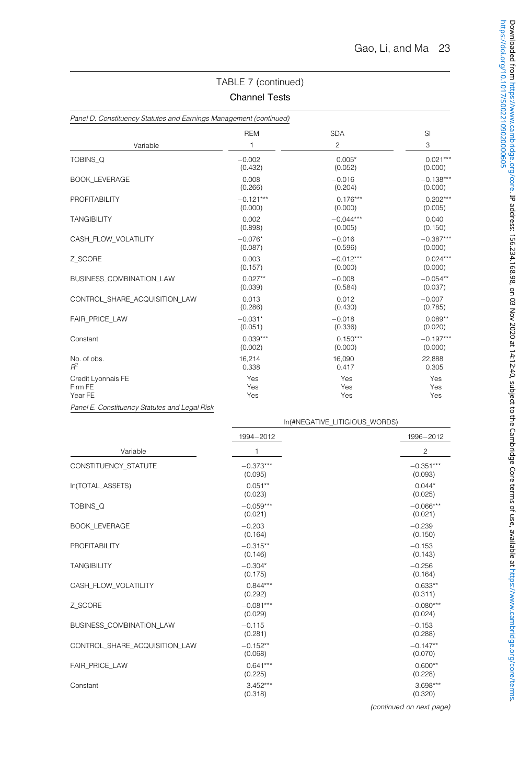|                                                                    | TABLE 7 (continued)         |                                |                                   |
|--------------------------------------------------------------------|-----------------------------|--------------------------------|-----------------------------------|
|                                                                    | <b>Channel Tests</b>        |                                |                                   |
| Panel D. Constituency Statutes and Earnings Management (continued) |                             |                                |                                   |
| Variable                                                           | REM<br>1                    | <b>SDA</b><br>2                | SI<br>3                           |
| TOBINS <sub>Q</sub>                                                | $-0.002$                    | $0.005*$                       | $0.021***$                        |
| BOOK_LEVERAGE                                                      | (0.432)<br>0.008<br>(0.266) | (0.052)<br>$-0.016$<br>(0.204) | (0.000)<br>$-0.138***$<br>(0.000) |
| <b>PROFITABILITY</b>                                               | $-0.121***$<br>(0.000)      | $0.176***$<br>(0.000)          | $0.202***$<br>(0.005)             |
| <b>TANGIBILITY</b>                                                 | 0.002<br>(0.898)            | $-0.044***$<br>(0.005)         | 0.040<br>(0.150)                  |
| CASH_FLOW_VOLATILITY                                               | $-0.076*$<br>(0.087)        | $-0.016$<br>(0.596)            | $-0.387***$<br>(0.000)            |
| Z_SCORE                                                            | 0.003<br>(0.157)            | $-0.012***$<br>(0.000)         | $0.024***$<br>(0.000)             |
| BUSINESS_COMBINATION_LAW                                           | $0.027**$<br>(0.039)        | $-0.008$<br>(0.584)            | $-0.054**$<br>(0.037)             |
| CONTROL_SHARE_ACQUISITION_LAW                                      | 0.013<br>(0.286)            | 0.012<br>(0.430)               | $-0.007$<br>(0.785)               |
| FAIR_PRICE_LAW                                                     | $-0.031*$<br>(0.051)        | $-0.018$<br>(0.336)            | $0.089**$<br>(0.020)              |
| Constant                                                           | $0.039***$<br>(0.002)       | $0.150***$<br>(0.000)          | $-0.197***$<br>(0.000)            |
| No. of obs.<br>$R^2$                                               | 16,214<br>0.338             | 16,090<br>0.417                | 22,888<br>0.305                   |
| Credit Lyonnais FE<br>Firm FE<br>Year FE                           | Yes<br>Yes<br>Yes           | Yes<br>Yes<br>Yes              | Yes<br>Yes<br>Yes                 |
| Panel E. Constituency Statutes and Legal Risk                      |                             |                                |                                   |
|                                                                    |                             | In(#NEGATIVE_LITIGIOUS_WORDS)  |                                   |
|                                                                    | 1994-2012                   |                                | 1996-2012                         |
| Variable                                                           | 1                           |                                | 2                                 |
| CONSTITUENCY_STATUTE                                               | $-0.373***$<br>(0.095)      |                                | $-0.351***$<br>(0.093)            |
| In(TOTAL_ASSETS)                                                   | $0.051**$<br>(0.023)        |                                | $0.044*$<br>(0.025)               |
| TOBINS_Q                                                           | $-0.059***$<br>(0.021)      |                                | $-0.066***$<br>(0.021)            |
| BOOK_LEVERAGE                                                      | $-0.203$<br>(0.164)         |                                | $-0.239$<br>(0.150)               |
| <b>PROFITABILITY</b>                                               | $-0.315**$<br>(0.146)       |                                | $-0.153$<br>(0.143)               |
| <b>TANGIBILITY</b>                                                 | $-0.304*$<br>(0.175)        |                                | $-0.256$<br>(0.164)               |
| CASH FLOW VOLATILITY                                               | $0.844***$<br>(0.292)       |                                | $0.633**$<br>(0.311)              |
| Z_SCORE                                                            | $-0.081***$<br>(0.029)      |                                | $-0.080***$<br>(0.024)            |
| BUSINESS COMBINATION LAW                                           | $-0.115$<br>(0.281)         |                                | $-0.153$<br>(0.288)               |
| CONTROL_SHARE_ACQUISITION_LAW                                      | $-0.152**$<br>(0.068)       |                                | $-0.147**$<br>(0.070)             |
| <b>FAIR PRICE LAW</b>                                              | $0.641***$<br>(0.225)       |                                | $0.600**$<br>(0.228)              |
| Constant                                                           | $3.452***$<br>(0.318)       |                                | 3.698***<br>(0.320)               |

(continued on next page)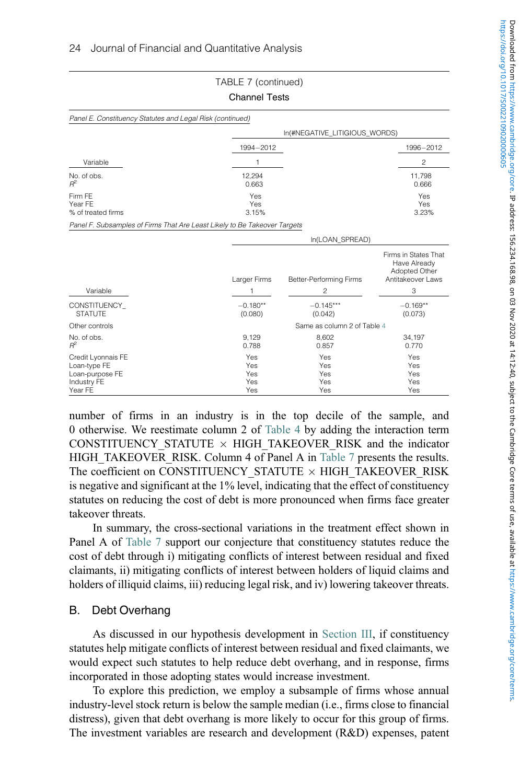|                                                                                 | TABLE 7 (continued)<br><b>Channel Tests</b> |                                 |                                                                                 |
|---------------------------------------------------------------------------------|---------------------------------------------|---------------------------------|---------------------------------------------------------------------------------|
| Panel E. Constituency Statutes and Legal Risk (continued)                       |                                             |                                 |                                                                                 |
|                                                                                 |                                             | In(#NEGATIVE_LITIGIOUS_WORDS)   |                                                                                 |
|                                                                                 | 1994-2012                                   |                                 | 1996-2012                                                                       |
| Variable                                                                        | 1                                           |                                 | 2                                                                               |
| No. of obs.<br>$R^2$                                                            | 12,294<br>0.663                             |                                 | 11,798<br>0.666                                                                 |
| Firm FE<br>Year FF<br>% of treated firms                                        | Yes<br>Yes<br>3.15%                         |                                 | Yes<br>Yes<br>3.23%                                                             |
| Panel F. Subsamples of Firms That Are Least Likely to Be Takeover Targets       |                                             |                                 |                                                                                 |
|                                                                                 |                                             | In(LOAN SPREAD)                 |                                                                                 |
| Variable                                                                        | Larger Firms<br>1                           | Better-Performing Firms<br>2    | Firms in States That<br>Have Already<br>Adopted Other<br>Antitakeover Laws<br>3 |
| CONSTITUENCY<br><b>STATUTE</b>                                                  | $-0.180**$<br>(0.080)                       | $-0.145***$<br>(0.042)          | $-0.169**$<br>(0.073)                                                           |
| Other controls                                                                  |                                             | Same as column 2 of Table 4     |                                                                                 |
| No. of obs.<br>$R^2$                                                            | 9,129<br>0.788                              | 8,602<br>0.857                  | 34,197<br>0.770                                                                 |
| Credit Lyonnais FE<br>Loan-type FE<br>Loan-purpose FE<br>Industry FE<br>Year FE | Yes<br>Yes<br>Yes<br>Yes<br>Yes             | Yes<br>Yes<br>Yes<br>Yes<br>Yes | Yes<br>Yes<br>Yes<br>Yes<br>Yes                                                 |

number of firms in an industry is in the top decile of the sample, and 0 otherwise. We reestimate column 2 of [Table 4](#page-13-0) by adding the interaction term CONSTITUENCY STATUTE  $\times$  HIGH TAKEOVER RISK and the indicator HIGH\_TAKEOVER\_RISK. Column 4 of Panel A in [Table 7](#page-20-0) presents the results. The coefficient on CONSTITUENCY\_STATUTE  $\times$  HIGH\_TAKEOVER\_RISK is negative and significant at the 1% level, indicating that the effect of constituency statutes on reducing the cost of debt is more pronounced when firms face greater takeover threats.

In summary, the cross-sectional variations in the treatment effect shown in Panel A of [Table 7](#page-20-0) support our conjecture that constituency statutes reduce the cost of debt through i) mitigating conflicts of interest between residual and fixed claimants, ii) mitigating conflicts of interest between holders of liquid claims and holders of illiquid claims, iii) reducing legal risk, and iv) lowering takeover threats.

#### B. Debt Overhang

As discussed in our hypothesis development in [Section III](#page-5-0), if constituency statutes help mitigate conflicts of interest between residual and fixed claimants, we would expect such statutes to help reduce debt overhang, and in response, firms incorporated in those adopting states would increase investment.

To explore this prediction, we employ a subsample of firms whose annual industry-level stock return is below the sample median (i.e., firms close to financial distress), given that debt overhang is more likely to occur for this group of firms. The investment variables are research and development (R&D) expenses, patent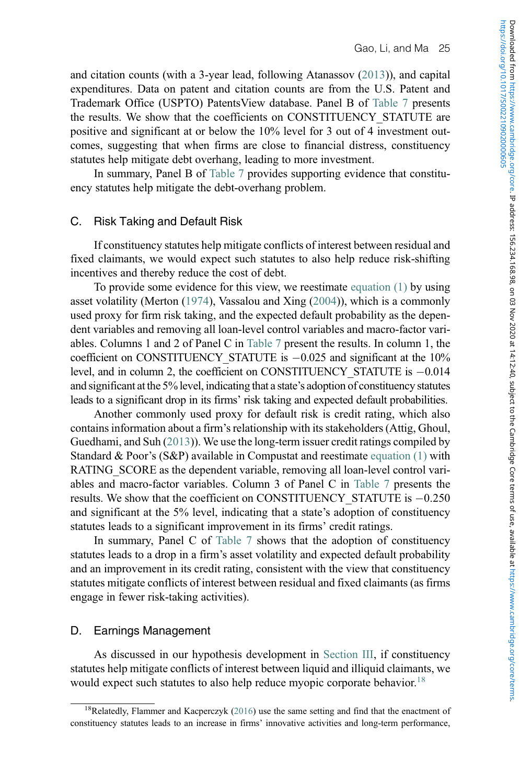and citation counts (with a 3-year lead, following Atanassov [\(2013](#page-33-17))), and capital expenditures. Data on patent and citation counts are from the U.S. Patent and Trademark Office (USPTO) PatentsView database. Panel B of [Table 7](#page-20-0) presents the results. We show that the coefficients on CONSTITUENCY\_STATUTE are positive and significant at or below the 10% level for 3 out of 4 investment outcomes, suggesting that when firms are close to financial distress, constituency statutes help mitigate debt overhang, leading to more investment.

In summary, Panel B of [Table 7](#page-20-0) provides supporting evidence that constituency statutes help mitigate the debt-overhang problem.

#### C. Risk Taking and Default Risk

If constituency statutes help mitigate conflicts of interest between residual and fixed claimants, we would expect such statutes to also help reduce risk-shifting incentives and thereby reduce the cost of debt.

To provide some evidence for this view, we reestimate [equation \(1\)](#page-11-0) by using asset volatility (Merton ([1974\)](#page-35-21), Vassalou and Xing [\(2004\)](#page-36-12)), which is a commonly used proxy for firm risk taking, and the expected default probability as the dependent variables and removing all loan-level control variables and macro-factor variables. Columns 1 and 2 of Panel C in [Table 7](#page-20-0) present the results. In column 1, the coefficient on CONSTITUENCY STATUTE is  $-0.025$  and significant at the 10% level, and in column 2, the coefficient on CONSTITUENCY STATUTE is  $-0.014$ and significant at the 5% level, indicating that a state's adoption of constituency statutes leads to a significant drop in its firms' risk taking and expected default probabilities.

Another commonly used proxy for default risk is credit rating, which also contains information about a firm's relationship with its stakeholders (Attig, Ghoul, Guedhami, and Suh ([2013\)](#page-33-20)). We use the long-term issuer credit ratings compiled by Standard & Poor's (S&P) available in Compustat and reestimate [equation \(1\)](#page-11-0) with RATING SCORE as the dependent variable, removing all loan-level control variables and macro-factor variables. Column 3 of Panel C in [Table 7](#page-20-0) presents the results. We show that the coefficient on CONSTITUENCY\_STATUTE is  $-0.250$ and significant at the 5% level, indicating that a state's adoption of constituency statutes leads to a significant improvement in its firms' credit ratings.

In summary, Panel C of [Table 7](#page-20-0) shows that the adoption of constituency statutes leads to a drop in a firm's asset volatility and expected default probability and an improvement in its credit rating, consistent with the view that constituency statutes mitigate conflicts of interest between residual and fixed claimants (as firms engage in fewer risk-taking activities).

#### D. Earnings Management

As discussed in our hypothesis development in [Section III](#page-5-0), if constituency statutes help mitigate conflicts of interest between liquid and illiquid claimants, we would expect such statutes to also help reduce myopic corporate behavior.<sup>[18](#page-24-0)</sup>

<span id="page-24-0"></span> $18$ Relatedly, Flammer and Kacperczyk ([2016\)](#page-34-1) use the same setting and find that the enactment of constituency statutes leads to an increase in firms' innovative activities and long-term performance,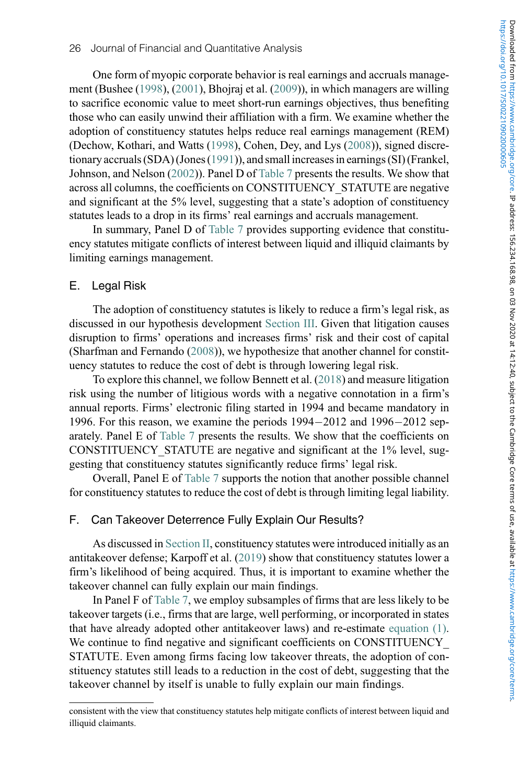One form of myopic corporate behavior is real earnings and accruals management (Bushee [\(1998](#page-33-9)), [\(2001](#page-33-10)), Bhojraj et al. ([2009\)](#page-33-11)), in which managers are willing to sacrifice economic value to meet short-run earnings objectives, thus benefiting those who can easily unwind their affiliation with a firm. We examine whether the adoption of constituency statutes helps reduce real earnings management (REM) (Dechow, Kothari, and Watts ([1998\)](#page-34-22), Cohen, Dey, and Lys [\(2008](#page-34-23))), signed discretionary accruals (SDA) (Jones [\(1991](#page-35-22))), and small increases in earnings (SI) (Frankel, Johnson, and Nelson [\(2002](#page-34-24))). Panel D of [Table 7](#page-20-0) presents the results. We show that across all columns, the coefficients on CONSTITUENCY\_STATUTE are negative and significant at the 5% level, suggesting that a state's adoption of constituency statutes leads to a drop in its firms' real earnings and accruals management.

In summary, Panel D of [Table 7](#page-20-0) provides supporting evidence that constituency statutes mitigate conflicts of interest between liquid and illiquid claimants by limiting earnings management.

#### E. Legal Risk

The adoption of constituency statutes is likely to reduce a firm's legal risk, as discussed in our hypothesis development [Section III](#page-5-0). Given that litigation causes disruption to firms' operations and increases firms' risk and their cost of capital (Sharfman and Fernando [\(2008\)](#page-36-6)), we hypothesize that another channel for constituency statutes to reduce the cost of debt is through lowering legal risk.

To explore this channel, we follow Bennett et al. [\(2018](#page-33-13)) and measure litigation risk using the number of litigious words with a negative connotation in a firm's annual reports. Firms' electronic filing started in 1994 and became mandatory in 1996. For this reason, we examine the periods  $1994-2012$  and  $1996-2012$  separately. Panel E of [Table 7](#page-20-0) presents the results. We show that the coefficients on CONSTITUENCY\_STATUTE are negative and significant at the 1% level, suggesting that constituency statutes significantly reduce firms' legal risk.

Overall, Panel E of [Table 7](#page-20-0) supports the notion that another possible channel for constituency statutes to reduce the cost of debt is through limiting legal liability.

#### F. Can Takeover Deterrence Fully Explain Our Results?

As discussed in [Section II](#page-3-1), constituency statutes were introduced initially as an antitakeover defense; Karpoff et al. ([2019\)](#page-35-16) show that constituency statutes lower a firm's likelihood of being acquired. Thus, it is important to examine whether the takeover channel can fully explain our main findings.

In Panel F of [Table 7,](#page-20-0) we employ subsamples of firms that are less likely to be takeover targets (i.e., firms that are large, well performing, or incorporated in states that have already adopted other antitakeover laws) and re-estimate [equation \(1\)](#page-11-0). We continue to find negative and significant coefficients on CONSTITUENCY STATUTE. Even among firms facing low takeover threats, the adoption of constituency statutes still leads to a reduction in the cost of debt, suggesting that the takeover channel by itself is unable to fully explain our main findings.

consistent with the view that constituency statutes help mitigate conflicts of interest between liquid and illiquid claimants.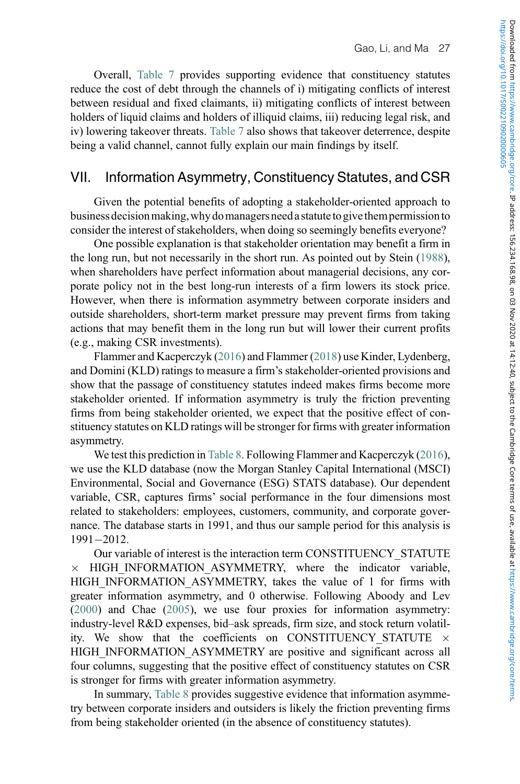Overall, [Table 7](#page-20-0) provides supporting evidence that constituency statutes reduce the cost of debt through the channels of i) mitigating conflicts of interest between residual and fixed claimants, ii) mitigating conflicts of interest between holders of liquid claims and holders of illiquid claims, iii) reducing legal risk, and iv) lowering takeover threats. [Table 7](#page-20-0) also shows that takeover deterrence, despite being a valid channel, cannot fully explain our main findings by itself.

# <span id="page-26-0"></span>VII. Information Asymmetry, Constituency Statutes, and CSR

Given the potential benefits of adopting a stakeholder-oriented approach to business decisionmaking, why domanagers need a statuteto givethem permissionto consider the interest of stakeholders, when doing so seemingly benefits everyone?

One possible explanation is that stakeholder orientation may benefit a firm in the long run, but not necessarily in the short run. As pointed out by Stein ([1988\)](#page-36-5), when shareholders have perfect information about managerial decisions, any corporate policy not in the best long-run interests of a firm lowers its stock price. However, when there is information asymmetry between corporate insiders and outside shareholders, short-term market pressure may prevent firms from taking actions that may benefit them in the long run but will lower their current profits (e.g., making CSR investments).

Flammer and Kacperczyk [\(2016](#page-34-1)) and Flammer ([2018\)](#page-34-14) use Kinder, Lydenberg, and Domini (KLD) ratings to measure a firm's stakeholder-oriented provisions and show that the passage of constituency statutes indeed makes firms become more stakeholder oriented. If information asymmetry is truly the friction preventing firms from being stakeholder oriented, we expect that the positive effect of constituency statutes on KLD ratings will be stronger for firms with greater information asymmetry.

We test this prediction in [Table 8](#page-27-1). Following Flammer and Kacperczyk ([2016\)](#page-34-1), we use the KLD database (now the Morgan Stanley Capital International (MSCI) Environmental, Social and Governance (ESG) STATS database). Our dependent variable, CSR, captures firms' social performance in the four dimensions most related to stakeholders: employees, customers, community, and corporate governance. The database starts in 1991, and thus our sample period for this analysis is  $1991 - 2012$ 

Our variable of interest is the interaction term CONSTITUENCY\_STATUTE  $\times$  HIGH INFORMATION ASYMMETRY, where the indicator variable, HIGH\_INFORMATION\_ASYMMETRY, takes the value of 1 for firms with greater information asymmetry, and 0 otherwise. Following Aboody and Lev ([2000\)](#page-33-21) and Chae ([2005](#page-33-22)), we use four proxies for information asymmetry: industry-level R&D expenses, bid–ask spreads, firm size, and stock return volatility. We show that the coefficients on CONSTITUENCY STATUTE  $\times$ HIGH\_INFORMATION\_ASYMMETRY are positive and significant across all four columns, suggesting that the positive effect of constituency statutes on CSR is stronger for firms with greater information asymmetry.

In summary, [Table 8](#page-27-1) provides suggestive evidence that information asymmetry between corporate insiders and outsiders is likely the friction preventing firms from being stakeholder oriented (in the absence of constituency statutes).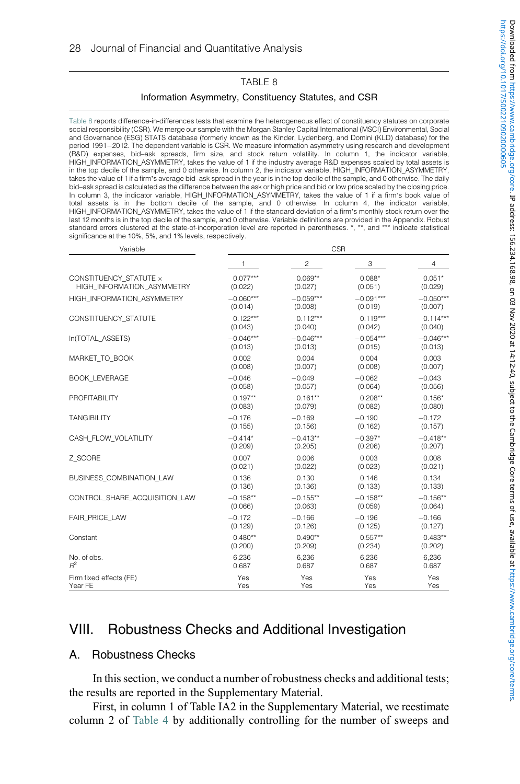#### TABLE 8 Information Asymmetry, Constituency Statutes, and CSR

<span id="page-27-1"></span>[Table 8](#page-27-1) reports difference-in-differences tests that examine the heterogeneous effect of constituency statutes on corporate social responsibility (CSR). We merge our sample with the Morgan Stanley Capital International (MSCI) Environmental, Social and Governance (ESG) STATS database (formerly known as the Kinder, Lydenberg, and Domini (KLD) database) for the period 1991-2012. The dependent variable is CSR. We measure information asymmetry using research and development (R&D) expenses, bid–ask spreads, firm size, and stock return volatility. In column 1, the indicator variable, HIGH\_INFORMATION\_ASYMMETRY, takes the value of 1 if the industry average R&D expenses scaled by total assets is in the top decile of the sample, and 0 otherwise. In column 2, the indicator variable, HIGH\_INFORMATION\_ASYMMETRY, takes the value of 1 if a firm's average bid–ask spread in the year is in the top decile of the sample, and 0 otherwise. The daily bid–ask spread is calculated as the difference between the ask or high price and bid or low price scaled by the closing price. In column 3, the indicator variable, HIGH\_INFORMATION\_ASYMMETRY, takes the value of 1 if a firm's book value of total assets is in the bottom decile of the sample, and 0 otherwise. In column 4, the indicator variable, HIGH\_INFORMATION\_ASYMMETRY, takes the value of 1 if the standard deviation of a firm's monthly stock return over the last 12 months is in the top decile of the sample, and 0 otherwise. Variable definitions are provided in the Appendix. Robust standard errors clustered at the state-of-incorporation level are reported in parentheses. \*, \*\*, and \*\*\* indicate statistical significance at the 10%, 5%, and 1% levels, respectively.

| Variable                        | <b>CSR</b>  |             |             |             |  |
|---------------------------------|-------------|-------------|-------------|-------------|--|
|                                 | 1           | 2           | 3           | 4           |  |
| CONSTITUENCY STATUTE ×          | $0.077***$  | $0.069**$   | $0.088*$    | $0.051*$    |  |
| HIGH INFORMATION ASYMMETRY      | (0.022)     | (0.027)     | (0.051)     | (0.029)     |  |
| HIGH INFORMATION ASYMMETRY      | $-0.060***$ | $-0.059***$ | $-0.091***$ | $-0.050***$ |  |
|                                 | (0.014)     | (0.008)     | (0.019)     | (0.007)     |  |
| CONSTITUENCY STATUTE            | $0.122***$  | $0.112***$  | $0.119***$  | $0.114***$  |  |
|                                 | (0.043)     | (0.040)     | (0.042)     | (0.040)     |  |
| In(TOTAL ASSETS)                | $-0.046***$ | $-0.046***$ | $-0.054***$ | $-0.046***$ |  |
|                                 | (0.013)     | (0.013)     | (0.015)     | (0.013)     |  |
| MARKET TO BOOK                  | 0.002       | 0.004       | 0.004       | 0.003       |  |
|                                 | (0.008)     | (0.007)     | (0.008)     | (0.007)     |  |
| <b>BOOK LEVERAGE</b>            | $-0.046$    | $-0.049$    | $-0.062$    | $-0.043$    |  |
|                                 | (0.058)     | (0.057)     | (0.064)     | (0.056)     |  |
| <b>PROFITABILITY</b>            | $0.197**$   | $0.161**$   | $0.208**$   | $0.156*$    |  |
|                                 | (0.083)     | (0.079)     | (0.082)     | (0.080)     |  |
| <b>TANGIBILITY</b>              | $-0.176$    | $-0.169$    | $-0.190$    | $-0.172$    |  |
|                                 | (0.155)     | (0.156)     | (0.162)     | (0.157)     |  |
| CASH FLOW VOLATILITY            | $-0.414*$   | $-0.413**$  | $-0.397*$   | $-0.418**$  |  |
|                                 | (0.209)     | (0.205)     | (0.206)     | (0.207)     |  |
| Z SCORE                         | 0.007       | 0.006       | 0.003       | 0.008       |  |
|                                 | (0.021)     | (0.022)     | (0.023)     | (0.021)     |  |
| <b>BUSINESS COMBINATION LAW</b> | 0.136       | 0.130       | 0.146       | 0.134       |  |
|                                 | (0.136)     | (0.136)     | (0.133)     | (0.133)     |  |
| CONTROL SHARE ACQUISITION LAW   | $-0.158**$  | $-0.155**$  | $-0.158**$  | $-0.156**$  |  |
|                                 | (0.066)     | (0.063)     | (0.059)     | (0.064)     |  |
| FAIR PRICE LAW                  | $-0.172$    | $-0.166$    | $-0.196$    | $-0.166$    |  |
|                                 | (0.129)     | (0.126)     | (0.125)     | (0.127)     |  |
| Constant                        | $0.480**$   | $0.490**$   | $0.557**$   | $0.483**$   |  |
|                                 | (0.200)     | (0.209)     | (0.234)     | (0.202)     |  |
| No. of obs.                     | 6,236       | 6,236       | 6.236       | 6,236       |  |
| $R^2$                           | 0.687       | 0.687       | 0.687       | 0.687       |  |
| Firm fixed effects (FE)         | Yes         | Yes         | Yes         | Yes         |  |
| Year FE                         | Yes         | Yes         | Yes         | Yes         |  |

# <span id="page-27-0"></span>VIII. Robustness Checks and Additional Investigation

#### A. Robustness Checks

In this section, we conduct a number of robustness checks and additional tests; the results are reported in the Supplementary Material.

First, in column 1 of Table IA2 in the Supplementary Material, we reestimate column 2 of [Table 4](#page-13-0) by additionally controlling for the number of sweeps and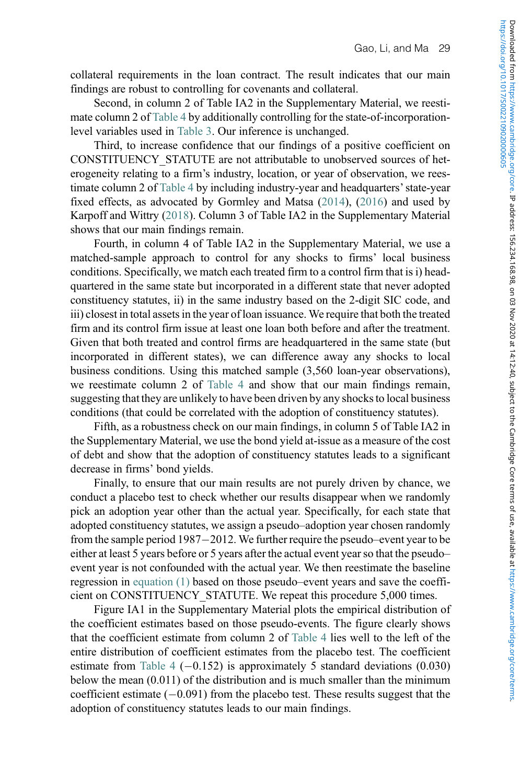collateral requirements in the loan contract. The result indicates that our main findings are robust to controlling for covenants and collateral.

Second, in column 2 of Table IA2 in the Supplementary Material, we reestimate column 2 of [Table 4](#page-13-0) by additionally controlling for the state-of-incorporationlevel variables used in [Table 3.](#page-10-0) Our inference is unchanged.

Third, to increase confidence that our findings of a positive coefficient on CONSTITUENCY\_STATUTE are not attributable to unobserved sources of heterogeneity relating to a firm's industry, location, or year of observation, we reestimate column 2 of [Table 4](#page-13-0) by including industry-year and headquarters'state-year fixed effects, as advocated by Gormley and Matsa [\(2014](#page-34-25)), ([2016\)](#page-34-26) and used by Karpoff and Wittry ([2018\)](#page-35-11). Column 3 of Table IA2 in the Supplementary Material shows that our main findings remain.

Fourth, in column 4 of Table IA2 in the Supplementary Material, we use a matched-sample approach to control for any shocks to firms' local business conditions. Specifically, we match each treated firm to a control firm that is i) headquartered in the same state but incorporated in a different state that never adopted constituency statutes, ii) in the same industry based on the 2-digit SIC code, and iii) closest in total assets in the year of loan issuance. We require that both the treated firm and its control firm issue at least one loan both before and after the treatment. Given that both treated and control firms are headquartered in the same state (but incorporated in different states), we can difference away any shocks to local business conditions. Using this matched sample (3,560 loan-year observations), we reestimate column 2 of [Table 4](#page-13-0) and show that our main findings remain, suggesting that they are unlikely to have been driven by any shocks to local business conditions (that could be correlated with the adoption of constituency statutes).

Fifth, as a robustness check on our main findings, in column 5 of Table IA2 in the Supplementary Material, we use the bond yield at-issue as a measure of the cost of debt and show that the adoption of constituency statutes leads to a significant decrease in firms' bond yields.

Finally, to ensure that our main results are not purely driven by chance, we conduct a placebo test to check whether our results disappear when we randomly pick an adoption year other than the actual year. Specifically, for each state that adopted constituency statutes, we assign a pseudo–adoption year chosen randomly from the sample period  $1987-2012$ . We further require the pseudo–event year to be either at least 5 years before or 5 years after the actual event year so that the pseudo– event year is not confounded with the actual year. We then reestimate the baseline regression in [equation \(1\)](#page-11-0) based on those pseudo–event years and save the coefficient on CONSTITUENCY\_STATUTE. We repeat this procedure 5,000 times.

Figure IA1 in the Supplementary Material plots the empirical distribution of the coefficient estimates based on those pseudo-events. The figure clearly shows that the coefficient estimate from column 2 of [Table 4](#page-13-0) lies well to the left of the entire distribution of coefficient estimates from the placebo test. The coefficient estimate from [Table 4](#page-13-0)  $(-0.152)$  is approximately 5 standard deviations  $(0.030)$ below the mean (0.011) of the distribution and is much smaller than the minimum coefficient estimate  $(-0.091)$  from the placebo test. These results suggest that the adoption of constituency statutes leads to our main findings.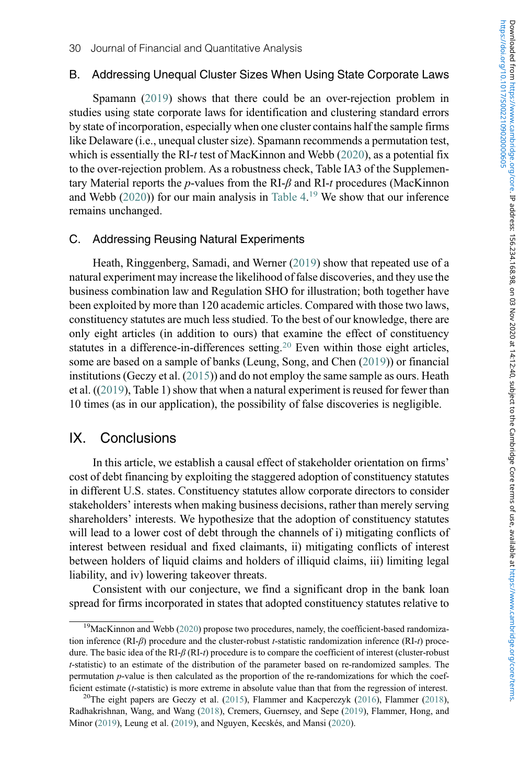#### B. Addressing Unequal Cluster Sizes When Using State Corporate Laws

Spamann [\(2019](#page-36-13)) shows that there could be an over-rejection problem in studies using state corporate laws for identification and clustering standard errors by state of incorporation, especially when one cluster contains half the sample firms like Delaware (i.e., unequal cluster size). Spamann recommends a permutation test, which is essentially the RI-t test of MacKinnon and Webb  $(2020)$  $(2020)$  $(2020)$ , as a potential fix to the over-rejection problem. As a robustness check, Table IA3 of the Supplementary Material reports the p-values from the RI- $\beta$  and RI-t procedures (MacKinnon and Webb  $(2020)$  $(2020)$  $(2020)$ ) for our main analysis in [Table 4.](#page-13-0)<sup>[19](#page-29-1)</sup> We show that our inference remains unchanged.

#### C. Addressing Reusing Natural Experiments

Heath, Ringgenberg, Samadi, and Werner ([2019\)](#page-35-24) show that repeated use of a natural experiment may increase the likelihood of false discoveries, and they use the business combination law and Regulation SHO for illustration; both together have been exploited by more than 120 academic articles. Compared with those two laws, constituency statutes are much less studied. To the best of our knowledge, there are only eight articles (in addition to ours) that examine the effect of constituency statutes in a difference-in-differences setting.<sup>[20](#page-29-2)</sup> Even within those eight articles, some are based on a sample of banks (Leung, Song, and Chen [\(2019\)](#page-35-25)) or financial institutions (Geczy et al. [\(2015](#page-34-13))) and do not employ the same sample as ours. Heath et al. (([2019\)](#page-35-24), Table 1) show that when a natural experiment is reused for fewer than 10 times (as in our application), the possibility of false discoveries is negligible.

### <span id="page-29-0"></span>IX. Conclusions

In this article, we establish a causal effect of stakeholder orientation on firms' cost of debt financing by exploiting the staggered adoption of constituency statutes in different U.S. states. Constituency statutes allow corporate directors to consider stakeholders' interests when making business decisions, rather than merely serving shareholders' interests. We hypothesize that the adoption of constituency statutes will lead to a lower cost of debt through the channels of i) mitigating conflicts of interest between residual and fixed claimants, ii) mitigating conflicts of interest between holders of liquid claims and holders of illiquid claims, iii) limiting legal liability, and iv) lowering takeover threats.

Consistent with our conjecture, we find a significant drop in the bank loan spread for firms incorporated in states that adopted constituency statutes relative to https://doi.org/10.1017/S0022109020000605

<span id="page-29-1"></span><sup>&</sup>lt;sup>19</sup>MacKinnon and Webb [\(2020](#page-35-23)) propose two procedures, namely, the coefficient-based randomization inference ( $\text{RI-}\beta$ ) procedure and the cluster-robust t-statistic randomization inference ( $\text{RI-}t$ ) procedure. The basic idea of the RI- $\beta$  (RI-t) procedure is to compare the coefficient of interest (cluster-robust t-statistic) to an estimate of the distribution of the parameter based on re-randomized samples. The permutation p-value is then calculated as the proportion of the re-randomizations for which the coef-

<span id="page-29-2"></span>ficient estimate (*t*-statistic) is more extreme in absolute value than that from the regression of interest. <sup>20</sup>The eight papers are Geczy et al. [\(2015](#page-34-13)), Flammer and Kacperczyk ([2016\)](#page-34-1), Flammer [\(2018](#page-34-14)), Radhakrishnan, Wang, and Wang [\(2018](#page-35-26)), Cremers, Guernsey, and Sepe ([2019\)](#page-34-27), Flammer, Hong, and Minor [\(2019](#page-34-28)), Leung et al. [\(2019](#page-35-25)), and Nguyen, Kecskés, and Mansi ([2020\)](#page-35-27).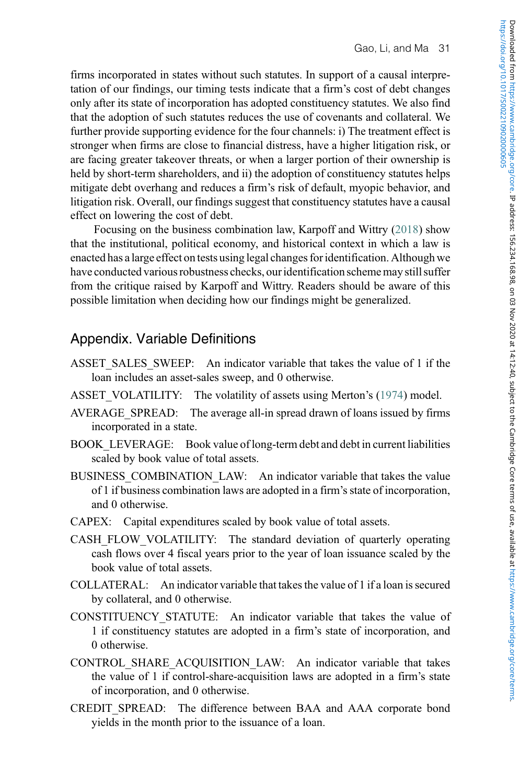firms incorporated in states without such statutes. In support of a causal interpretation of our findings, our timing tests indicate that a firm's cost of debt changes only after its state of incorporation has adopted constituency statutes. We also find that the adoption of such statutes reduces the use of covenants and collateral. We further provide supporting evidence for the four channels: i) The treatment effect is stronger when firms are close to financial distress, have a higher litigation risk, or are facing greater takeover threats, or when a larger portion of their ownership is held by short-term shareholders, and ii) the adoption of constituency statutes helps mitigate debt overhang and reduces a firm's risk of default, myopic behavior, and litigation risk. Overall, our findings suggest that constituency statutes have a causal effect on lowering the cost of debt.

Focusing on the business combination law, Karpoff and Wittry ([2018\)](#page-35-11) show that the institutional, political economy, and historical context in which a law is enacted has a large effect on tests using legal changes for identification. Although we have conducted various robustness checks, our identification scheme may still suffer from the critique raised by Karpoff and Wittry. Readers should be aware of this possible limitation when deciding how our findings might be generalized.

# <span id="page-30-0"></span>Appendix. Variable Definitions

- ASSET\_SALES\_SWEEP: An indicator variable that takes the value of 1 if the loan includes an asset-sales sweep, and 0 otherwise.
- ASSET\_VOLATILITY: The volatility of assets using Merton's ([1974\)](#page-35-21) model.
- AVERAGE SPREAD: The average all-in spread drawn of loans issued by firms incorporated in a state.
- BOOK\_LEVERAGE: Book value of long-term debt and debt in current liabilities scaled by book value of total assets.
- BUSINESS\_COMBINATION\_LAW: An indicator variable that takes the value of 1 if business combination laws are adopted in a firm's state of incorporation, and 0 otherwise.
- CAPEX: Capital expenditures scaled by book value of total assets.
- CASH\_FLOW\_VOLATILITY: The standard deviation of quarterly operating cash flows over 4 fiscal years prior to the year of loan issuance scaled by the book value of total assets.
- COLLATERAL: An indicator variable that takes the value of 1 if a loan is secured by collateral, and 0 otherwise.
- CONSTITUENCY\_STATUTE: An indicator variable that takes the value of 1 if constituency statutes are adopted in a firm's state of incorporation, and 0 otherwise.
- CONTROL\_SHARE\_ACQUISITION\_LAW: An indicator variable that takes the value of 1 if control-share-acquisition laws are adopted in a firm's state of incorporation, and 0 otherwise.
- CREDIT\_SPREAD: The difference between BAA and AAA corporate bond yields in the month prior to the issuance of a loan.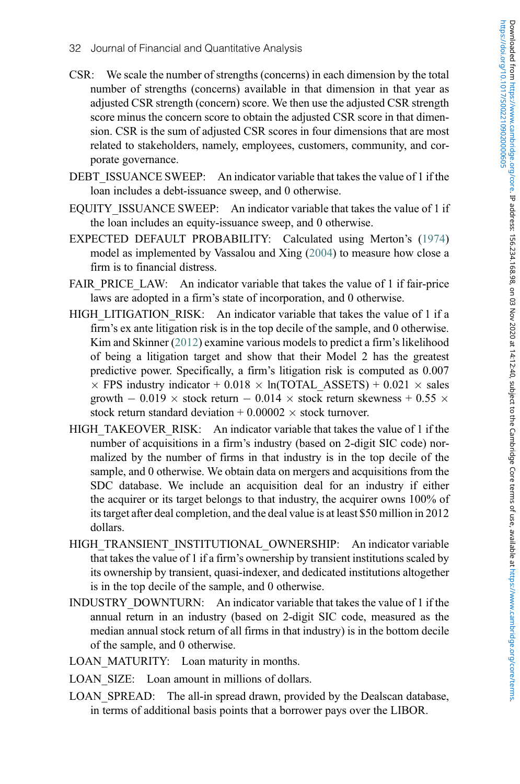- CSR: We scale the number of strengths (concerns) in each dimension by the total number of strengths (concerns) available in that dimension in that year as adjusted CSR strength (concern) score. We then use the adjusted CSR strength score minus the concern score to obtain the adjusted CSR score in that dimension. CSR is the sum of adjusted CSR scores in four dimensions that are most related to stakeholders, namely, employees, customers, community, and corporate governance.
- DEBT ISSUANCE SWEEP: An indicator variable that takes the value of 1 if the loan includes a debt-issuance sweep, and 0 otherwise.
- EQUITY ISSUANCE SWEEP: An indicator variable that takes the value of 1 if the loan includes an equity-issuance sweep, and 0 otherwise.
- EXPECTED DEFAULT PROBABILITY: Calculated using Merton's [\(1974](#page-35-21)) model as implemented by Vassalou and Xing ([2004\)](#page-36-12) to measure how close a firm is to financial distress.
- FAIR\_PRICE\_LAW: An indicator variable that takes the value of 1 if fair-price laws are adopted in a firm's state of incorporation, and 0 otherwise.
- HIGH\_LITIGATION\_RISK: An indicator variable that takes the value of 1 if a firm's ex ante litigation risk is in the top decile of the sample, and 0 otherwise. Kim and Skinner ([2012](#page-35-18)) examine various models to predict a firm's likelihood of being a litigation target and show that their Model 2 has the greatest predictive power. Specifically, a firm's litigation risk is computed as 0.007  $\times$  FPS industry indicator + 0.018  $\times$  ln(TOTAL\_ASSETS) + 0.021  $\times$  sales growth  $-0.019 \times$  stock return  $-0.014 \times$  stock return skewness + 0.55  $\times$ stock return standard deviation  $+0.00002 \times$  stock turnover.
- HIGH\_TAKEOVER\_RISK: An indicator variable that takes the value of 1 if the number of acquisitions in a firm's industry (based on 2-digit SIC code) normalized by the number of firms in that industry is in the top decile of the sample, and 0 otherwise. We obtain data on mergers and acquisitions from the SDC database. We include an acquisition deal for an industry if either the acquirer or its target belongs to that industry, the acquirer owns 100% of its target after deal completion, and the deal value is at least \$50 million in 2012 dollars.
- HIGH\_TRANSIENT\_INSTITUTIONAL\_OWNERSHIP: An indicator variable that takes the value of 1 if a firm's ownership by transient institutions scaled by its ownership by transient, quasi-indexer, and dedicated institutions altogether is in the top decile of the sample, and 0 otherwise.
- INDUSTRY\_DOWNTURN: An indicator variable that takes the value of 1 if the annual return in an industry (based on 2-digit SIC code, measured as the median annual stock return of all firms in that industry) is in the bottom decile of the sample, and 0 otherwise.
- LOAN\_MATURITY: Loan maturity in months.
- LOAN SIZE: Loan amount in millions of dollars.
- LOAN SPREAD: The all-in spread drawn, provided by the Dealscan database, in terms of additional basis points that a borrower pays over the LIBOR.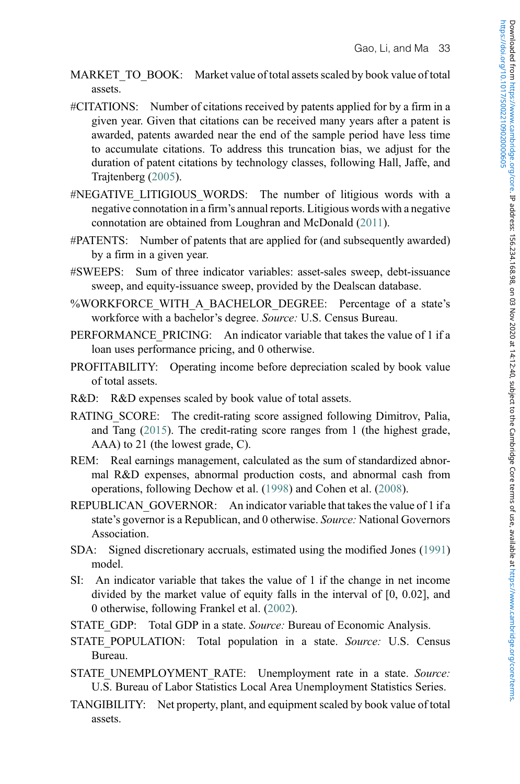- MARKET TO BOOK: Market value of total assets scaled by book value of total assets.
- #CITATIONS: Number of citations received by patents applied for by a firm in a given year. Given that citations can be received many years after a patent is awarded, patents awarded near the end of the sample period have less time to accumulate citations. To address this truncation bias, we adjust for the duration of patent citations by technology classes, following Hall, Jaffe, and Trajtenberg ([2005\)](#page-35-28).
- #NEGATIVE\_LITIGIOUS\_WORDS: The number of litigious words with a negative connotation in a firm's annual reports. Litigious words with a negative connotation are obtained from Loughran and McDonald [\(2011\)](#page-35-29).
- #PATENTS: Number of patents that are applied for (and subsequently awarded) by a firm in a given year.
- #SWEEPS: Sum of three indicator variables: asset-sales sweep, debt-issuance sweep, and equity-issuance sweep, provided by the Dealscan database.
- %WORKFORCE\_WITH\_A\_BACHELOR\_DEGREE: Percentage of a state's workforce with a bachelor's degree. Source: U.S. Census Bureau.
- PERFORMANCE PRICING: An indicator variable that takes the value of 1 if a loan uses performance pricing, and 0 otherwise.
- PROFITABILITY: Operating income before depreciation scaled by book value of total assets.
- R&D: R&D expenses scaled by book value of total assets.
- RATING SCORE: The credit-rating score assigned following Dimitrov, Palia, and Tang [\(2015](#page-34-29)). The credit-rating score ranges from 1 (the highest grade, AAA) to 21 (the lowest grade, C).
- REM: Real earnings management, calculated as the sum of standardized abnormal R&D expenses, abnormal production costs, and abnormal cash from operations, following Dechow et al. [\(1998](#page-34-22)) and Cohen et al. ([2008\)](#page-34-23).
- REPUBLICAN GOVERNOR: An indicator variable that takes the value of 1 if a state's governor is a Republican, and 0 otherwise. Source: National Governors Association.
- SDA: Signed discretionary accruals, estimated using the modified Jones [\(1991](#page-35-22)) model.
- SI: An indicator variable that takes the value of 1 if the change in net income divided by the market value of equity falls in the interval of [0, 0.02], and 0 otherwise, following Frankel et al. [\(2002](#page-34-24)).
- STATE GDP: Total GDP in a state. Source: Bureau of Economic Analysis.
- STATE POPULATION: Total population in a state. Source: U.S. Census Bureau.
- STATE\_UNEMPLOYMENT\_RATE: Unemployment rate in a state. Source: U.S. Bureau of Labor Statistics Local Area Unemployment Statistics Series.
- TANGIBILITY: Net property, plant, and equipment scaled by book value of total assets.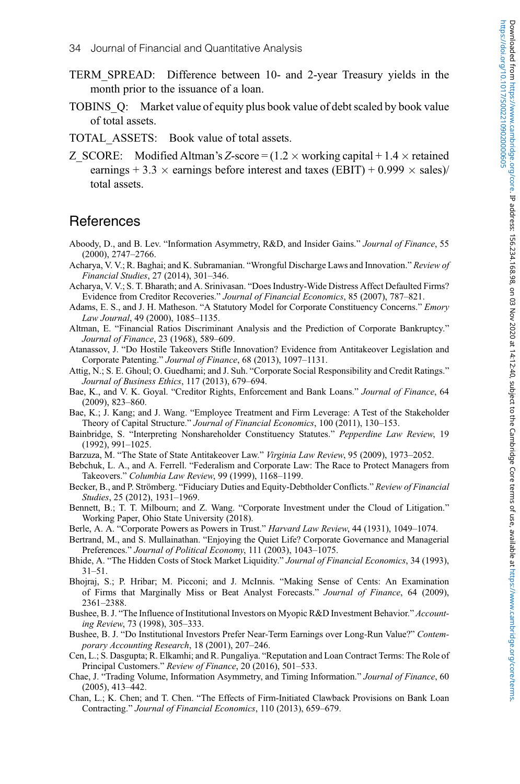- TERM\_SPREAD: Difference between 10- and 2-year Treasury yields in the month prior to the issuance of a loan.
- TOBINS\_Q: Market value of equity plus book value of debt scaled by book value of total assets.

TOTAL\_ASSETS: Book value of total assets.

Z SCORE: Modified Altman's Z-score =  $(1.2 \times$  working capital + 1.4  $\times$  retained earnings + 3.3  $\times$  earnings before interest and taxes (EBIT) + 0.999  $\times$  sales)/ total assets.

### **References**

- <span id="page-33-21"></span>Aboody, D., and B. Lev. "Information Asymmetry, R&D, and Insider Gains." Journal of Finance, 55 (2000), 2747–2766.
- <span id="page-33-15"></span>Acharya, V. V.; R. Baghai; and K. Subramanian. "Wrongful Discharge Laws and Innovation." Review of Financial Studies, 27 (2014), 301–346.
- <span id="page-33-19"></span>Acharya, V. V.; S. T. Bharath; and A. Srinivasan. "Does Industry-Wide Distress Affect Defaulted Firms? Evidence from Creditor Recoveries." Journal of Financial Economics, 85 (2007), 787–821.
- <span id="page-33-7"></span>Adams, E. S., and J. H. Matheson. "A Statutory Model for Corporate Constituency Concerns." Emory Law Journal, 49 (2000), 1085–1135.
- <span id="page-33-14"></span>Altman, E. "Financial Ratios Discriminant Analysis and the Prediction of Corporate Bankruptcy." Journal of Finance, 23 (1968), 589–609.
- <span id="page-33-17"></span>Atanassov, J. "Do Hostile Takeovers Stifle Innovation? Evidence from Antitakeover Legislation and Corporate Patenting." Journal of Finance, 68 (2013), 1097–1131.
- <span id="page-33-20"></span>Attig, N.; S. E. Ghoul; O. Guedhami; and J. Suh. "Corporate Social Responsibility and Credit Ratings." Journal of Business Ethics, 117 (2013), 679–694.
- <span id="page-33-3"></span>Bae, K., and V. K. Goyal. "Creditor Rights, Enforcement and Bank Loans." Journal of Finance, 64 (2009), 823–860.
- <span id="page-33-0"></span>Bae, K.; J. Kang; and J. Wang. "Employee Treatment and Firm Leverage: A Test of the Stakeholder Theory of Capital Structure." Journal of Financial Economics, 100 (2011), 130–153.
- <span id="page-33-5"></span>Bainbridge, S. "Interpreting Nonshareholder Constituency Statutes." Pepperdine Law Review, 19 (1992), 991–1025.
- <span id="page-33-18"></span><span id="page-33-12"></span>Barzuza, M. "The State of State Antitakeover Law." Virginia Law Review, 95 (2009), 1973–2052.
- Bebchuk, L. A., and A. Ferrell. "Federalism and Corporate Law: The Race to Protect Managers from Takeovers." Columbia Law Review, 99 (1999), 1168–1199.
- <span id="page-33-4"></span>Becker, B., and P. Strömberg. "Fiduciary Duties and Equity-Debtholder Conflicts." Review of Financial Studies, 25 (2012), 1931–1969.
- <span id="page-33-13"></span>Bennett, B.; T. T. Milbourn; and Z. Wang. "Corporate Investment under the Cloud of Litigation." Working Paper, Ohio State University (2018).
- <span id="page-33-16"></span><span id="page-33-6"></span>Berle, A. A. "Corporate Powers as Powers in Trust." Harvard Law Review, 44 (1931), 1049-1074.
- Bertrand, M., and S. Mullainathan. "Enjoying the Quiet Life? Corporate Governance and Managerial Preferences." Journal of Political Economy, 111 (2003), 1043–1075.
- <span id="page-33-8"></span>Bhide, A. "The Hidden Costs of Stock Market Liquidity." Journal of Financial Economics, 34 (1993), 31–51.
- <span id="page-33-11"></span>Bhojraj, S.; P. Hribar; M. Picconi; and J. McInnis. "Making Sense of Cents: An Examination of Firms that Marginally Miss or Beat Analyst Forecasts." Journal of Finance, 64 (2009), 2361–2388.
- <span id="page-33-9"></span>2561–2588.<br>Bushee, B. J. "The Influence of Institutional Investors on Myopic R&D Investment Behavior." Account-<br>ing Review, 73 (1998), 305–333.<br>Bushee, B. J. "Do Institutional Investors Prefer Near-Term Earnings over Longing Review, 73 (1998), 305–333.
- <span id="page-33-10"></span>porary Accounting Research, 18 (2001), 207–246.
- <span id="page-33-1"></span>Cen, L.; S. Dasgupta; R. Elkamhi; and R. Pungaliya. "Reputation and Loan Contract Terms: The Role of Principal Customers." Review of Finance, 20 (2016), 501–533.
- <span id="page-33-22"></span>Chae, J. "Trading Volume, Information Asymmetry, and Timing Information." Journal of Finance, 60 (2005), 413–442.
- <span id="page-33-2"></span>Chan, L.; K. Chen; and T. Chen. "The Effects of Firm-Initiated Clawback Provisions on Bank Loan Contracting." Journal of Financial Economics, 110 (2013), 659–679.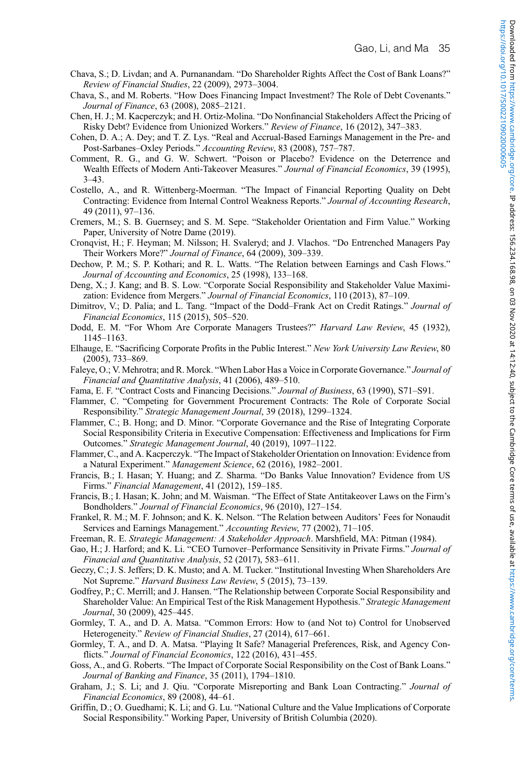- <span id="page-34-6"></span>Chava, S.; D. Livdan; and A. Purnanandam. "Do Shareholder Rights Affect the Cost of Bank Loans?" Review of Financial Studies, 22 (2009), 2973–3004.
- <span id="page-34-20"></span>Chava, S., and M. Roberts. "How Does Financing Impact Investment? The Role of Debt Covenants." Journal of Finance, 63 (2008), 2085–2121.
- <span id="page-34-3"></span>Chen, H. J.; M. Kacperczyk; and H. Ortiz-Molina. "Do Nonfinancial Stakeholders Affect the Pricing of Risky Debt? Evidence from Unionized Workers." Review of Finance, 16 (2012), 347–383.
- <span id="page-34-23"></span>Cohen, D. A.; A. Dey; and T. Z. Lys. "Real and Accrual-Based Earnings Management in the Pre- and Post-Sarbanes–Oxley Periods." Accounting Review, 83 (2008), 757–787.
- <span id="page-34-21"></span>Comment, R. G., and G. W. Schwert. "Poison or Placebo? Evidence on the Deterrence and Wealth Effects of Modern Anti-Takeover Measures." Journal of Financial Economics, 39 (1995), 3–43.
- <span id="page-34-5"></span>Costello, A., and R. Wittenberg-Moerman. "The Impact of Financial Reporting Quality on Debt Contracting: Evidence from Internal Control Weakness Reports." Journal of Accounting Research, 49 (2011), 97–136.
- <span id="page-34-27"></span>Cremers, M.; S. B. Guernsey; and S. M. Sepe. "Stakeholder Orientation and Firm Value." Working Paper, University of Notre Dame (2019).
- <span id="page-34-8"></span>Cronqvist, H.; F. Heyman; M. Nilsson; H. Svaleryd; and J. Vlachos. "Do Entrenched Managers Pay Their Workers More?" Journal of Finance, 64 (2009), 309–339.
- <span id="page-34-22"></span>Dechow, P. M.; S. P. Kothari; and R. L. Watts. "The Relation between Earnings and Cash Flows." Journal of Accounting and Economics, 25 (1998), 133–168.
- <span id="page-34-0"></span>Deng, X.; J. Kang; and B. S. Low. "Corporate Social Responsibility and Stakeholder Value Maximization: Evidence from Mergers." Journal of Financial Economics, 110 (2013), 87–109.
- <span id="page-34-29"></span>Dimitrov, V.; D. Palia; and L. Tang. "Impact of the Dodd–Frank Act on Credit Ratings." Journal of Financial Economics, 115 (2015), 505–520.
- <span id="page-34-9"></span>Dodd, E. M. "For Whom Are Corporate Managers Trustees?" Harvard Law Review, 45 (1932), 1145–1163.
- <span id="page-34-12"></span>Elhauge, E. "Sacrificing Corporate Profits in the Public Interest." New York University Law Review, 80 (2005), 733–869.
- <span id="page-34-2"></span>Faleye, O.; V. Mehrotra; and R. Morck. "When Labor Has a Voice in Corporate Governance." Journal of Financial and Quantitative Analysis, 41 (2006), 489–510.
- <span id="page-34-16"></span>Fama, E. F. "Contract Costs and Financing Decisions." Journal of Business, 63 (1990), S71–S91.
- <span id="page-34-14"></span>Flammer, C. "Competing for Government Procurement Contracts: The Role of Corporate Social Responsibility." Strategic Management Journal, 39 (2018), 1299–1324.
- <span id="page-34-28"></span>Flammer, C.; B. Hong; and D. Minor. "Corporate Governance and the Rise of Integrating Corporate Social Responsibility Criteria in Executive Compensation: Effectiveness and Implications for Firm Outcomes." Strategic Management Journal, 40 (2019), 1097–1122.
- <span id="page-34-1"></span>Flammer, C., and A. Kacperczyk. "The Impact of Stakeholder Orientation on Innovation: Evidence from a Natural Experiment." Management Science, 62 (2016), 1982–2001.
- <span id="page-34-15"></span>Francis, B.; I. Hasan; Y. Huang; and Z. Sharma. "Do Banks Value Innovation? Evidence from US Firms." Financial Management, 41 (2012), 159–185.
- <span id="page-34-19"></span>Francis, B.; I. Hasan; K. John; and M. Waisman. "The Effect of State Antitakeover Laws on the Firm's Bondholders." Journal of Financial Economics, 96 (2010), 127–154.
- <span id="page-34-24"></span>Frankel, R. M.; M. F. Johnson; and K. K. Nelson. "The Relation between Auditors' Fees for Nonaudit Services and Earnings Management." Accounting Review, 77 (2002), 71–105.
- <span id="page-34-17"></span><span id="page-34-11"></span>Freeman, R. E. Strategic Management: A Stakeholder Approach. Marshfield, MA: Pitman (1984).
- Gao, H.; J. Harford; and K. Li. "CEO Turnover-Performance Sensitivity in Private Firms." Journal of Financial and Quantitative Analysis, 52 (2017), 583–611.
- <span id="page-34-13"></span>Geczy, C.; J. S. Jeffers; D. K. Musto; and A. M. Tucker. "Institutional Investing When Shareholders Are Not Supreme." Harvard Business Law Review, 5 (2015), 73–139.
- <span id="page-34-18"></span>Godfrey, P.; C. Merrill; and J. Hansen. "The Relationship between Corporate Social Responsibility and Shareholder Value: An Empirical Test of the Risk Management Hypothesis." Strategic Management Journal, 30 (2009), 425–445.
- <span id="page-34-25"></span>Gormley, T. A., and D. A. Matsa. "Common Errors: How to (and Not to) Control for Unobserved Heterogeneity." Review of Financial Studies, 27 (2014), 617–661.
- <span id="page-34-26"></span>Gormley, T. A., and D. A. Matsa. "Playing It Safe? Managerial Preferences, Risk, and Agency Conflicts." Journal of Financial Economics, 122 (2016), 431-455.
- <span id="page-34-10"></span>Goss, A., and G. Roberts. "The Impact of Corporate Social Responsibility on the Cost of Bank Loans." Journal of Banking and Finance, 35 (2011), 1794–1810.
- <span id="page-34-4"></span>Graham, J.; S. Li; and J. Qiu. "Corporate Misreporting and Bank Loan Contracting." Journal of Financial Economics, 89 (2008), 44–61.
- <span id="page-34-7"></span>Griffin, D.; O. Guedhami; K. Li; and G. Lu. "National Culture and the Value Implications of Corporate Social Responsibility." Working Paper, University of British Columbia (2020).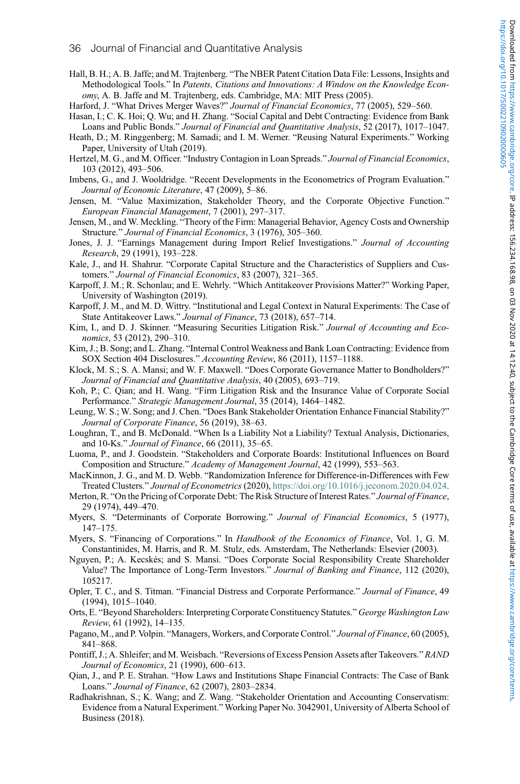- <span id="page-35-28"></span>Hall, B. H.; A. B. Jaffe; and M. Trajtenberg. "The NBER Patent Citation Data File: Lessons, Insights and Methodological Tools." In Patents, Citations and Innovations: A Window on the Knowledge Economy, A. B. Jaffe and M. Trajtenberg, eds. Cambridge, MA: MIT Press (2005).
- <span id="page-35-19"></span>Harford, J. "What Drives Merger Waves?" Journal of Financial Economics, 77 (2005), 529-560.
- <span id="page-35-8"></span>Hasan, I.; C. K. Hoi; Q. Wu; and H. Zhang. "Social Capital and Debt Contracting: Evidence from Bank Loans and Public Bonds." Journal of Financial and Quantitative Analysis, 52 (2017), 1017–1047.
- <span id="page-35-24"></span>Heath, D.; M. Ringgenberg; M. Samadi; and I. M. Werner. "Reusing Natural Experiments." Working Paper, University of Utah (2019).
- <span id="page-35-5"></span>Hertzel, M. G., and M. Officer. "Industry Contagion in Loan Spreads." Journal of Financial Economics, 103 (2012), 493–506.
- <span id="page-35-17"></span>Imbens, G., and J. Wooldridge. "Recent Developments in the Econometrics of Program Evaluation." Journal of Economic Literature, 47 (2009), 5–86.
- <span id="page-35-0"></span>Jensen, M. "Value Maximization, Stakeholder Theory, and the Corporate Objective Function." European Financial Management, 7 (2001), 297–317.
- <span id="page-35-14"></span>Jensen, M., and W. Meckling. "Theory of the Firm: Managerial Behavior, Agency Costs and Ownership Structure." Journal of Financial Economics, 3 (1976), 305–360.
- <span id="page-35-22"></span>Jones, J. J. "Earnings Management during Import Relief Investigations." Journal of Accounting Research, 29 (1991), 193–228.
- <span id="page-35-3"></span>Kale, J., and H. Shahrur. "Corporate Capital Structure and the Characteristics of Suppliers and Customers." Journal of Financial Economics, 83 (2007), 321–365.
- <span id="page-35-16"></span>Karpoff, J. M.; R. Schonlau; and E. Wehrly. "Which Antitakeover Provisions Matter?" Working Paper, University of Washington (2019).
- <span id="page-35-11"></span>Karpoff, J. M., and M. D. Wittry. "Institutional and Legal Context in Natural Experiments: The Case of State Antitakeover Laws." Journal of Finance, 73 (2018), 657–714.
- <span id="page-35-18"></span>Kim, I., and D. J. Skinner. "Measuring Securities Litigation Risk." Journal of Accounting and Economics, 53 (2012), 290–310.
- <span id="page-35-4"></span>Kim, J.; B. Song; and L. Zhang. "Internal Control Weakness and Bank Loan Contracting: Evidence from SOX Section 404 Disclosures." Accounting Review, 86 (2011), 1157–1188.
- <span id="page-35-6"></span>Klock, M. S.; S. A. Mansi; and W. F. Maxwell. "Does Corporate Governance Matter to Bondholders?" Journal of Financial and Quantitative Analysis, 40 (2005), 693–719.
- <span id="page-35-15"></span>Koh, P.; C. Qian; and H. Wang. "Firm Litigation Risk and the Insurance Value of Corporate Social Performance." Strategic Management Journal, 35 (2014), 1464–1482.
- <span id="page-35-25"></span>Leung, W. S.; W. Song; and J. Chen. "Does Bank Stakeholder Orientation Enhance Financial Stability?" Journal of Corporate Finance, 56 (2019), 38–63.
- <span id="page-35-29"></span>Loughran, T., and B. McDonald. "When Is a Liability Not a Liability? Textual Analysis, Dictionaries, and 10-Ks." Journal of Finance, 66 (2011), 35–65.
- <span id="page-35-12"></span>Luoma, P., and J. Goodstein. "Stakeholders and Corporate Boards: Institutional Influences on Board Composition and Structure." Academy of Management Journal, 42 (1999), 553–563.
- <span id="page-35-23"></span>MacKinnon, J. G., and M. D. Webb. "Randomization Inference for Difference-in-Differences with Few Treated Clusters." Journal of Econometrics (2020), [https://doi.org/10.1016/j.jeconom.2020.04.024.](https://doi.org/10.1016/j.jeconom.2020.04.024)
- <span id="page-35-21"></span>Merton, R. "On the Pricing of Corporate Debt: The Risk Structure of Interest Rates." Journal of Finance, 29 (1974), 449–470.
- <span id="page-35-13"></span>Myers, S. "Determinants of Corporate Borrowing." Journal of Financial Economics, 5 (1977), 147–175.
- <span id="page-35-2"></span>Myers, S. "Financing of Corporations." In Handbook of the Economics of Finance, Vol. 1, G. M. Constantinides, M. Harris, and R. M. Stulz, eds. Amsterdam, The Netherlands: Elsevier (2003).
- <span id="page-35-27"></span>Nguyen, P.; A. Kecskés; and S. Mansi. "Does Corporate Social Responsibility Create Shareholder Value? The Importance of Long-Term Investors." Journal of Banking and Finance, 112 (2020), 105217.
- <span id="page-35-20"></span>Opler, T. C., and S. Titman. "Financial Distress and Corporate Performance." Journal of Finance, 49 (1994), 1015–1040.
- <span id="page-35-10"></span>Orts, E. "Beyond Shareholders: Interpreting Corporate Constituency Statutes." George Washington Law Review, 61 (1992), 14–135.
- <span id="page-35-1"></span>Pagano, M., and P. Volpin. "Managers, Workers, and Corporate Control." Journal of Finance, 60 (2005), 841–868.
- <span id="page-35-9"></span>Pontiff, J.; A. Shleifer; and M. Weisbach. "Reversions of Excess Pension Assets after Takeovers." RAND Journal of Economics, 21 (1990), 600–613.
- <span id="page-35-7"></span>Qian, J., and P. E. Strahan. "How Laws and Institutions Shape Financial Contracts: The Case of Bank Loans." Journal of Finance, 62 (2007), 2803–2834.
- <span id="page-35-26"></span>Radhakrishnan, S.; K. Wang; and Z. Wang. "Stakeholder Orientation and Accounting Conservatism: Evidence from a Natural Experiment." Working Paper No. 3042901, University of Alberta School of Business (2018).